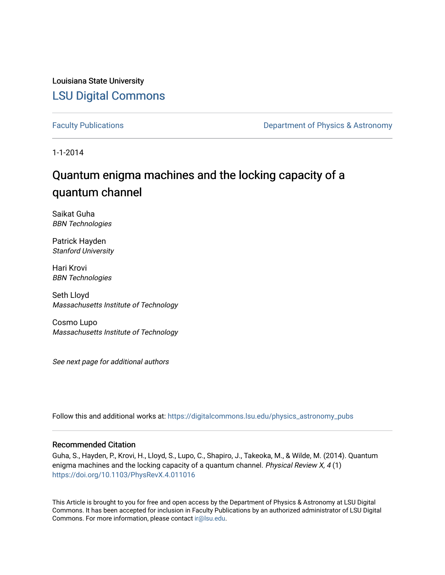Louisiana State University [LSU Digital Commons](https://digitalcommons.lsu.edu/)

[Faculty Publications](https://digitalcommons.lsu.edu/physics_astronomy_pubs) **Exercise 2 and Table 2 and Table 2 and Table 2 and Table 2 and Table 2 and Table 2 and Table 2 and Table 2 and Table 2 and Table 2 and Table 2 and Table 2 and Table 2 and Table 2 and Table 2 and Table** 

1-1-2014

# Quantum enigma machines and the locking capacity of a quantum channel

Saikat Guha BBN Technologies

Patrick Hayden Stanford University

Hari Krovi BBN Technologies

Seth Lloyd Massachusetts Institute of Technology

Cosmo Lupo Massachusetts Institute of Technology

See next page for additional authors

Follow this and additional works at: [https://digitalcommons.lsu.edu/physics\\_astronomy\\_pubs](https://digitalcommons.lsu.edu/physics_astronomy_pubs?utm_source=digitalcommons.lsu.edu%2Fphysics_astronomy_pubs%2F5708&utm_medium=PDF&utm_campaign=PDFCoverPages) 

# Recommended Citation

Guha, S., Hayden, P., Krovi, H., Lloyd, S., Lupo, C., Shapiro, J., Takeoka, M., & Wilde, M. (2014). Quantum enigma machines and the locking capacity of a quantum channel. Physical Review X,  $4(1)$ <https://doi.org/10.1103/PhysRevX.4.011016>

This Article is brought to you for free and open access by the Department of Physics & Astronomy at LSU Digital Commons. It has been accepted for inclusion in Faculty Publications by an authorized administrator of LSU Digital Commons. For more information, please contact [ir@lsu.edu](mailto:ir@lsu.edu).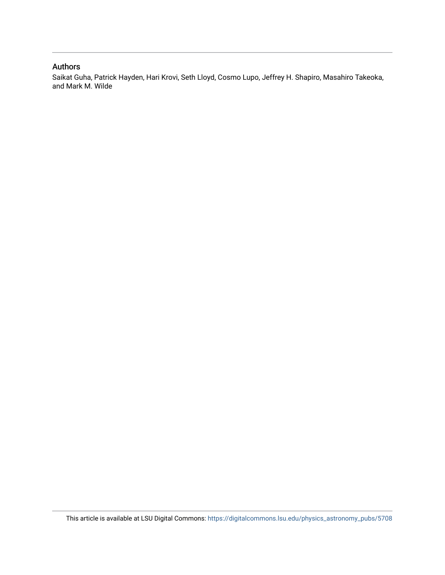# Authors

Saikat Guha, Patrick Hayden, Hari Krovi, Seth Lloyd, Cosmo Lupo, Jeffrey H. Shapiro, Masahiro Takeoka, and Mark M. Wilde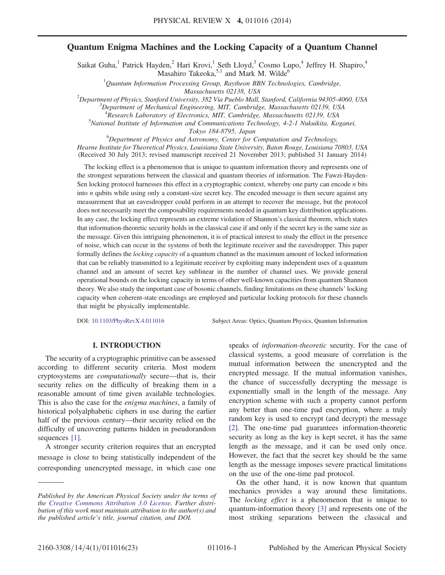# Quantum Enigma Machines and the Locking Capacity of a Quantum Channel

Saikat Guha,<sup>1</sup> Patrick Hayden,<sup>2</sup> Hari Krovi,<sup>1</sup> Seth Lloyd,<sup>3</sup> Cosmo Lupo,<sup>4</sup> Jeffrey H. Shapiro,<sup>4</sup> Masahiro Takeoka, $5,1$  and Mark M. Wilde $^6$ 

 ${}^{1}$ Quantum Information Processing Group, Raytheon BBN Technologies, Cambridge,

Massachusetts 02138, USA<br><sup>2</sup>Department of Physics, Stanford University, 382 Via Pueble Mell

Department of Physics, Stanford University, 382 Via Pueblo Mall, Stanford, California 94305-4060, USA <sup>3</sup>

 $\beta$ Department of Mechanical Engineering, MIT, Cambridge, Massachusetts 02139, USA

<sup>4</sup> Research Laboratory of Electronics, MIT, Cambridge, Massachusetts 02139, USA<br><sup>5</sup>National Institute of Information and Communications Technology 4.2.1 Nubulities Ko

 $5$ National Institute of Information and Communications Technology, 4-2-1 Nukuikita, Koganei,

Tokyo 184-8795, Japan<br><sup>6</sup>Department of Physics and Astronomy, Center for Computation and Technology, Hearne Institute for Theoretical Physics, Louisiana State University, Baton Rouge, Louisiana 70803, USA (Received 30 July 2013; revised manuscript received 21 November 2013; published 31 January 2014)

The locking effect is a phenomenon that is unique to quantum information theory and represents one of the strongest separations between the classical and quantum theories of information. The Fawzi-Hayden-Sen locking protocol harnesses this effect in a cryptographic context, whereby one party can encode *n* bits into n qubits while using only a constant-size secret key. The encoded message is then secure against any measurement that an eavesdropper could perform in an attempt to recover the message, but the protocol does not necessarily meet the composability requirements needed in quantum key distribution applications. In any case, the locking effect represents an extreme violation of Shannon's classical theorem, which states that information-theoretic security holds in the classical case if and only if the secret key is the same size as the message. Given this intriguing phenomenon, it is of practical interest to study the effect in the presence of noise, which can occur in the systems of both the legitimate receiver and the eavesdropper. This paper formally defines the locking capacity of a quantum channel as the maximum amount of locked information that can be reliably transmitted to a legitimate receiver by exploiting many independent uses of a quantum channel and an amount of secret key sublinear in the number of channel uses. We provide general operational bounds on the locking capacity in terms of other well-known capacities from quantum Shannon theory. We also study the important case of bosonic channels, finding limitations on these channels' locking capacity when coherent-state encodings are employed and particular locking protocols for these channels that might be physically implementable.

DOI: [10.1103/PhysRevX.4.011016](http://dx.doi.org/10.1103/PhysRevX.4.011016) Subject Areas: Optics, Quantum Physics, Quantum Information

#### I. INTRODUCTION

The security of a cryptographic primitive can be assessed according to different security criteria. Most modern cryptosystems are computationally secure—that is, their security relies on the difficulty of breaking them in a reasonable amount of time given available technologies. This is also the case for the *enigma machines*, a family of historical polyalphabetic ciphers in use during the earlier half of the previous century—their security relied on the difficulty of uncovering patterns hidden in pseudorandom sequences [\[1\].](#page-23-0)

A stronger security criterion requires that an encrypted message is close to being statistically independent of the corresponding unencrypted message, in which case one speaks of information-theoretic security. For the case of classical systems, a good measure of correlation is the mutual information between the unencrypted and the encrypted message. If the mutual information vanishes, the chance of successfully decrypting the message is exponentially small in the length of the message. Any encryption scheme with such a property cannot perform any better than one-time pad encryption, where a truly random key is used to encrypt (and decrypt) the message [\[2\]](#page-23-1). The one-time pad guarantees information-theoretic security as long as the key is kept secret, it has the same length as the message, and it can be used only once. However, the fact that the secret key should be the same length as the message imposes severe practical limitations on the use of the one-time pad protocol.

On the other hand, it is now known that quantum mechanics provides a way around these limitations. The *locking effect* is a phenomenon that is unique to quantum-information theory [\[3\]](#page-23-2) and represents one of the most striking separations between the classical and

Published by the American Physical Society under the terms of the [Creative Commons Attribution 3.0 License.](http://creativecommons.org/licenses/by/3.0/) Further distribution of this work must maintain attribution to the author(s) and the published article's title, journal citation, and DOI.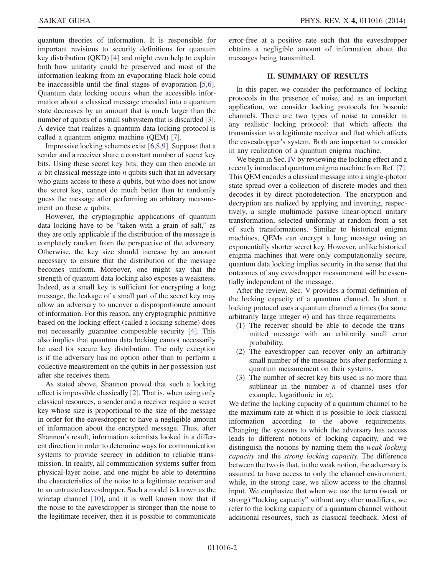quantum theories of information. It is responsible for important revisions to security definitions for quantum key distribution (QKD) [\[4\]](#page-23-3) and might even help to explain both how unitarity could be preserved and most of the information leaking from an evaporating black hole could be inaccessible until the final stages of evaporation [\[5,6\]](#page-23-4). Quantum data locking occurs when the accessible information about a classical message encoded into a quantum state decreases by an amount that is much larger than the number of qubits of a small subsystem that is discarded [\[3\]](#page-23-2). A device that realizes a quantum data-locking protocol is called a quantum enigma machine (QEM) [\[7\]](#page-23-5).

Impressive locking schemes exist [\[6,8,9\]](#page-23-6). Suppose that a sender and a receiver share a constant number of secret key bits. Using these secret key bits, they can then encode an  $n$ -bit classical message into  $n$  qubits such that an adversary who gains access to these  $n$  qubits, but who does not know the secret key, cannot do much better than to randomly guess the message after performing an arbitrary measurement on these  $n$  qubits.

However, the cryptographic applications of quantum data locking have to be "taken with a grain of salt," as they are only applicable if the distribution of the message is completely random from the perspective of the adversary. Otherwise, the key size should increase by an amount necessary to ensure that the distribution of the message becomes uniform. Moreover, one might say that the strength of quantum data locking also exposes a weakness. Indeed, as a small key is sufficient for encrypting a long message, the leakage of a small part of the secret key may allow an adversary to uncover a disproportionate amount of information. For this reason, any cryptographic primitive based on the locking effect (called a locking scheme) does not necessarily guarantee composable security [\[4\].](#page-23-3) This also implies that quantum data locking cannot necessarily be used for secure key distribution. The only exception is if the adversary has no option other than to perform a collective measurement on the qubits in her possession just after she receives them.

As stated above, Shannon proved that such a locking effect is impossible classically [\[2\].](#page-23-1) That is, when using only classical resources, a sender and a receiver require a secret key whose size is proportional to the size of the message in order for the eavesdropper to have a negligible amount of information about the encrypted message. Thus, after Shannon's result, information scientists looked in a different direction in order to determine ways for communication systems to provide secrecy in addition to reliable transmission. In reality, all communication systems suffer from physical-layer noise, and one might be able to determine the characteristics of the noise to a legitimate receiver and to an untrusted eavesdropper. Such a model is known as the wiretap channel [\[10\]](#page-23-7), and it is well known now that if the noise to the eavesdropper is stronger than the noise to the legitimate receiver, then it is possible to communicate

error-free at a positive rate such that the eavesdropper obtains a negligible amount of information about the messages being transmitted.

## II. SUMMARY OF RESULTS

In this paper, we consider the performance of locking protocols in the presence of noise, and as an important application, we consider locking protocols for bosonic channels. There are two types of noise to consider in any realistic locking protocol: that which affects the transmission to a legitimate receiver and that which affects the eavesdropper's system. Both are important to consider in any realization of a quantum enigma machine.

We begin in Sec. [IV](#page-4-0) by reviewing the locking effect and a recently introduced quantum enigma machine from Ref. [\[7\]](#page-23-5). This QEM encodes a classical message into a single-photon state spread over a collection of discrete modes and then decodes it by direct photodetection. The encryption and decryption are realized by applying and inverting, respectively, a single multimode passive linear-optical unitary transformation, selected uniformly at random from a set of such transformations. Similar to historical enigma machines, QEMs can encrypt a long message using an exponentially shorter secret key. However, unlike historical enigma machines that were only computationally secure, quantum data locking implies security in the sense that the outcomes of any eavesdropper measurement will be essentially independent of the message.

After the review, Sec. [V](#page-7-0) provides a formal definition of the locking capacity of a quantum channel. In short, a locking protocol uses a quantum channel  $n$  times (for some arbitrarily large integer  $n$ ) and has three requirements.

- (1) The receiver should be able to decode the transmitted message with an arbitrarily small error probability.
- (2) The eavesdropper can recover only an arbitrarily small number of the message bits after performing a quantum measurement on their systems.
- (3) The number of secret key bits used is no more than sublinear in the number  $n$  of channel uses (for example, logarithmic in  $n$ ).

We define the locking capacity of a quantum channel to be the maximum rate at which it is possible to lock classical information according to the above requirements. Changing the systems to which the adversary has access leads to different notions of locking capacity, and we distinguish the notions by naming them the *weak locking* capacity and the strong locking capacity. The difference between the two is that, in the weak notion, the adversary is assumed to have access to only the channel environment, while, in the strong case, we allow access to the channel input. We emphasize that when we use the term (weak or strong) "locking capacity" without any other modifiers, we refer to the locking capacity of a quantum channel without additional resources, such as classical feedback. Most of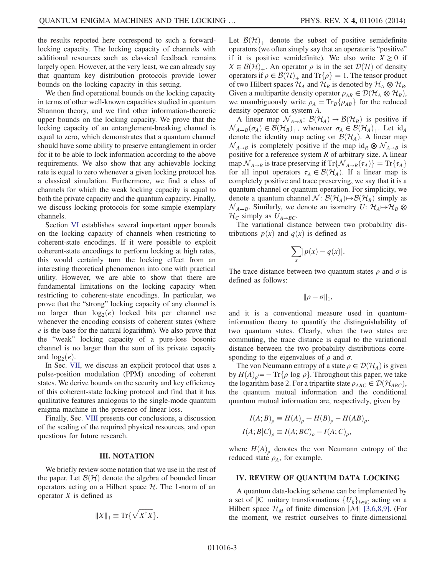the results reported here correspond to such a forwardlocking capacity. The locking capacity of channels with additional resources such as classical feedback remains largely open. However, at the very least, we can already say that quantum key distribution protocols provide lower bounds on the locking capacity in this setting.

We then find operational bounds on the locking capacity in terms of other well-known capacities studied in quantum Shannon theory, and we find other information-theoretic upper bounds on the locking capacity. We prove that the locking capacity of an entanglement-breaking channel is equal to zero, which demonstrates that a quantum channel should have some ability to preserve entanglement in order for it to be able to lock information according to the above requirements. We also show that any achievable locking rate is equal to zero whenever a given locking protocol has a classical simulation. Furthermore, we find a class of channels for which the weak locking capacity is equal to both the private capacity and the quantum capacity. Finally, we discuss locking protocols for some simple exemplary channels.

Section [VI](#page-15-0) establishes several important upper bounds on the locking capacity of channels when restricting to coherent-state encodings. If it were possible to exploit coherent-state encodings to perform locking at high rates, this would certainly turn the locking effect from an interesting theoretical phenomenon into one with practical utility. However, we are able to show that there are fundamental limitations on the locking capacity when restricting to coherent-state encodings. In particular, we prove that the "strong" locking capacity of any channel is no larger than  $log_2(e)$  locked bits per channel use whenever the encoding consists of coherent states (where e is the base for the natural logarithm). We also prove that the "weak" locking capacity of a pure-loss bosonic channel is no larger than the sum of its private capacity and  $log_2(e)$ .

In Sec. [VII](#page-19-0), we discuss an explicit protocol that uses a pulse-position modulation (PPM) encoding of coherent states. We derive bounds on the security and key efficiency of this coherent-state locking protocol and find that it has qualitative features analogous to the single-mode quantum enigma machine in the presence of linear loss.

Finally, Sec. [VIII](#page-20-0) presents our conclusions, a discussion of the scaling of the required physical resources, and open questions for future research.

#### III. NOTATION

We briefly review some notation that we use in the rest of the paper. Let  $\mathcal{B}(\mathcal{H})$  denote the algebra of bounded linear operators acting on a Hilbert space  $H$ . The 1-norm of an operator  $X$  is defined as

$$
||X||_1 \equiv \operatorname{Tr}\{\sqrt{X^{\dagger}X}\}.
$$

Let  $\mathcal{B}(\mathcal{H})_+$  denote the subset of positive semidefinite operators (we often simply say that an operator is "positive" if it is positive semidefinite). We also write  $X \ge 0$  if  $X \in \mathcal{B}(\mathcal{H})_+$ . An operator  $\rho$  is in the set  $\mathcal{D}(\mathcal{H})$  of density operators if  $\rho \in \mathcal{B}(\mathcal{H})_+$  and  $\text{Tr}\{\rho\} = 1$ . The tensor product of two Hilbert spaces  $\mathcal{H}_A$  and  $\mathcal{H}_B$  is denoted by  $\mathcal{H}_A \otimes \mathcal{H}_B$ . Given a multipartite density operator  $\rho_{AB} \in \mathcal{D}(\mathcal{H}_A \otimes \mathcal{H}_B)$ , we unambiguously write  $\rho_A = \text{Tr}_B\{\rho_{AB}\}\$  for the reduced density operator on system A.

A linear map  $\mathcal{N}_{A\rightarrow B}$ :  $\mathcal{B}(\mathcal{H}_A) \rightarrow \mathcal{B}(\mathcal{H}_B)$  is positive if  $\mathcal{N}_{A\rightarrow B}(\sigma_A) \in \mathcal{B}(\mathcal{H}_B)_+$ , whenever  $\sigma_A \in \mathcal{B}(\mathcal{H}_A)_+$ . Let  $\mathrm{id}_A$ denote the identity map acting on  $\mathcal{B}(\mathcal{H}_{A})$ . A linear map  $\mathcal{N}_{A\rightarrow B}$  is completely positive if the map id<sub>R</sub>  $\otimes \mathcal{N}_{A\rightarrow B}$  is positive for a reference system  $R$  of arbitrary size. A linear map  $\mathcal{N}_{A\rightarrow B}$  is trace preserving if Tr $\{\mathcal{N}_{A\rightarrow B}(\tau_A)\} = \text{Tr}\{\tau_A\}$ for all input operators  $\tau_A \in \mathcal{B}(\mathcal{H}_A)$ . If a linear map is completely positive and trace preserving, we say that it is a quantum channel or quantum operation. For simplicity, we denote a quantum channel  $\mathcal{N}$ :  $\mathcal{B}(\mathcal{H}_A) \mapsto \mathcal{B}(\mathcal{H}_B)$  simply as  $\mathcal{N}_{A\rightarrow B}$ . Similarly, we denote an isometry U:  $\mathcal{H}_A \mapsto \mathcal{H}_B \otimes$  $\mathcal{H}_C$  simply as  $U_{A\rightarrow BC}$ .

The variational distance between two probability distributions  $p(x)$  and  $q(x)$  is defined as

$$
\sum_{x} |p(x) - q(x)|.
$$

The trace distance between two quantum states  $\rho$  and  $\sigma$  is defined as follows:

$$
\|\rho-\sigma\|_1,
$$

and it is a conventional measure used in quantuminformation theory to quantify the distinguishability of two quantum states. Clearly, when the two states are commuting, the trace distance is equal to the variational distance between the two probability distributions corresponding to the eigenvalues of  $\rho$  and  $\sigma$ .

The von Neumann entropy of a state  $\rho \in \mathcal{D}(\mathcal{H}_{A})$  is given by  $H(A)_{\rho}$ = – Tr{ $\rho$  log  $\rho$ }. Throughout this paper, we take the logarithm base 2. For a tripartite state  $\rho_{ABC} \in \mathcal{D}(\mathcal{H}_{ABC})$ , the quantum mutual information and the conditional quantum mutual information are, respectively, given by

$$
I(A;B)_{\rho} \equiv H(A)_{\rho} + H(B)_{\rho} - H(AB)_{\rho},
$$
  

$$
I(A;B|C)_{\rho} \equiv I(A;BC)_{\rho} - I(A;C)_{\rho},
$$

where  $H(A)$ <sub>o</sub> denotes the von Neumann entropy of the reduced state  $\rho_A$ , for example.

### <span id="page-4-0"></span>IV. REVIEW OF QUANTUM DATA LOCKING

A quantum data-locking scheme can be implemented by a set of |K| unitary transformations  $\{U_k\}_{k\in\mathcal{K}}$  acting on a Hilbert space  $\mathcal{H}_M$  of finite dimension  $|\mathcal{M}|$  [\[3,6,8,9\]](#page-23-2). (For the moment, we restrict ourselves to finite-dimensional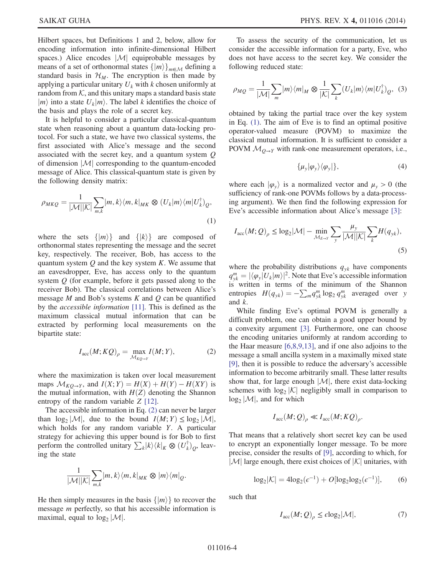Hilbert spaces, but Definitions 1 and 2, below, allow for encoding information into infinite-dimensional Hilbert spaces.) Alice encodes  $|\mathcal{M}|$  equiprobable messages by means of a set of orthonormal states  $\{|m\rangle\}_{m\in\mathcal{M}}$  defining a standard basis in  $\mathcal{H}_M$ . The encryption is then made by applying a particular unitary  $U_k$  with k chosen uniformly at random from  $K$ , and this unitary maps a standard basis state  $|m\rangle$  into a state  $U_k|m\rangle$ . The label k identifies the choice of the basis and plays the role of a secret key.

It is helpful to consider a particular classical-quantum state when reasoning about a quantum data-locking protocol. For such a state, we have two classical systems, the first associated with Alice's message and the second associated with the secret key, and a quantum system Q of dimension  $|\mathcal{M}|$  corresponding to the quantum-encoded message of Alice. This classical-quantum state is given by the following density matrix:

<span id="page-5-1"></span>
$$
\rho_{MKQ} = \frac{1}{|\mathcal{M}||\mathcal{K}|} \sum_{m,k} |m,k\rangle \langle m,k|_{MK} \otimes (U_k|m\rangle \langle m|U_k^{\dagger})_Q,
$$
\n(1)

where the sets  $\{|m\rangle\}$  and  $\{|k\rangle\}$  are composed of orthonormal states representing the message and the secret key, respectively. The receiver, Bob, has access to the quantum system  $Q$  and the key system  $K$ . We assume that an eavesdropper, Eve, has access only to the quantum system Q (for example, before it gets passed along to the receiver Bob). The classical correlations between Alice's message  $M$  and Bob's systems  $K$  and  $Q$  can be quantified by the accessible information [\[11\].](#page-23-8) This is defined as the maximum classical mutual information that can be extracted by performing local measurements on the bipartite state:

<span id="page-5-0"></span>
$$
I_{\rm acc}(M; KQ)_{\rho} = \max_{\mathcal{M}_{KQ \to Y}} I(M; Y), \tag{2}
$$

where the maximization is taken over local measurement maps  $\mathcal{M}_{KO\to Y}$ , and  $I(X; Y) = H(X) + H(Y) - H(XY)$  is the mutual information, with  $H(Z)$  denoting the Shannon entropy of the random variable Z [\[12\].](#page-23-9)

The accessible information in Eq. [\(2\)](#page-5-0) can never be larger than  $\log_2 |\mathcal{M}|$ , due to the bound  $I(M; Y) \leq \log_2 |\mathcal{M}|$ , which holds for any random variable Y. A particular strategy for achieving this upper bound is for Bob to first perform the controlled unitary  $\sum_{k} |k\rangle\langle k|_K \otimes (U_k^{\dagger})_Q$ , leaving the state

$$
\frac{1}{|\mathcal{M}||\mathcal{K}|}\sum_{m,k}|m,k\rangle\langle m,k|_{MK}\otimes|m\rangle\langle m|_{Q}.
$$

He then simply measures in the basis  $\{|m\rangle\}$  to recover the message *m* perfectly, so that his accessible information is maximal, equal to  $log_2 |\mathcal{M}|$ .

To assess the security of the communication, let us consider the accessible information for a party, Eve, who does not have access to the secret key. We consider the following reduced state:

$$
\rho_{MQ} = \frac{1}{|\mathcal{M}|} \sum_{m} |m\rangle\langle m|_{M} \otimes \frac{1}{|\mathcal{K}|} \sum_{k} (U_{k}|m\rangle\langle m|U_{k}^{\dagger})_{Q}, \quad (3)
$$

obtained by taking the partial trace over the key system in Eq. [\(1\).](#page-5-1) The aim of Eve is to find an optimal positive operator-valued measure (POVM) to maximize the classical mutual information. It is sufficient to consider a POVM  $\mathcal{M}_{Q\rightarrow Y}$  with rank-one measurement operators, i.e.,

$$
\{\mu_{y}|\varphi_{y}\rangle\langle\varphi_{y}|\},\tag{4}
$$

<span id="page-5-2"></span>where each  $|\varphi_{v}\rangle$  is a normalized vector and  $\mu_{v} > 0$  (the sufficiency of rank-one POVMs follows by a data-processing argument). We then find the following expression for Eve's accessible information about Alice's message [\[3\]](#page-23-2):

$$
I_{\rm acc}(M;Q)_{\rho} \le \log_2|M| - \min_{\mathcal{M}_{E\to Y}} \sum_{y} \frac{\mu_y}{|\mathcal{M}||\mathcal{K}|} \sum_{k} H(q_{yk}),\tag{5}
$$

where the probability distributions  $q_{vk}$  have components  $q_{y_k}^m = |\langle \varphi_y | U_k | m \rangle|^2$ . Note that Eve's accessible information is written in terms of the minimum of the Shannon is written in terms of the minimum of the Shannon entropies  $H(q_{yk}) = -\sum_m q_{yk}^m \log_2 q_{yk}^m$  averaged over y and k.

While finding Eve's optimal POVM is generally a difficult problem, one can obtain a good upper bound by a convexity argument [\[3\].](#page-23-2) Furthermore, one can choose the encoding unitaries uniformly at random according to the Haar measure [\[6,8,9,13\]](#page-23-6), and if one also adjoins to the message a small ancilla system in a maximally mixed state [\[9\]](#page-23-10), then it is possible to reduce the adversary's accessible information to become arbitrarily small. These latter results show that, for large enough  $|\mathcal{M}|$ , there exist data-locking schemes with  $log_2 |\mathcal{K}|$  negligibly small in comparison to  $log_2$   $|\mathcal{M}|$ , and for which

$$
I_{\rm acc}(M;Q)_{\rho} \ll I_{\rm acc}(M;KQ)_{\rho}.
$$

That means that a relatively short secret key can be used to encrypt an exponentially longer message. To be more precise, consider the results of [\[9\],](#page-23-10) according to which, for  $|\mathcal{M}|$  large enough, there exist choices of  $|\mathcal{K}|$  unitaries, with

$$
\log_2|\mathcal{K}| = 4\log_2(\epsilon^{-1}) + O[\log_2\log_2(\epsilon^{-1})],\tag{6}
$$

such that

$$
I_{\rm acc}(M; Q)_{\rho} \le \varepsilon \log_2 |\mathcal{M}|,\tag{7}
$$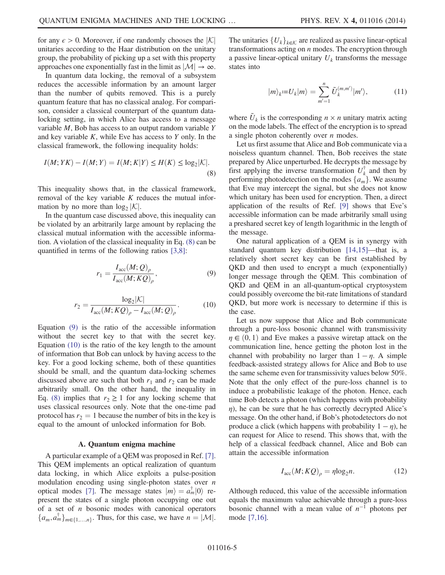for any  $\epsilon > 0$ . Moreover, if one randomly chooses the  $|\mathcal{K}|$ unitaries according to the Haar distribution on the unitary group, the probability of picking up a set with this property approaches one exponentially fast in the limit as  $|\mathcal{M}| \to \infty$ .

In quantum data locking, the removal of a subsystem reduces the accessible information by an amount larger than the number of qubits removed. This is a purely quantum feature that has no classical analog. For comparison, consider a classical counterpart of the quantum datalocking setting, in which Alice has access to a message variable M, Bob has access to an output random variable Y and key variable  $K$ , while Eve has access to  $Y$  only. In the classical framework, the following inequality holds:

<span id="page-6-0"></span>
$$
I(M; YK) - I(M; Y) = I(M; K|Y) \le H(K) \le \log_2 |K|.
$$
\n(8)

This inequality shows that, in the classical framework, removal of the key variable  $K$  reduces the mutual information by no more than  $log_2 |\mathcal{K}|$ .

<span id="page-6-1"></span>In the quantum case discussed above, this inequality can be violated by an arbitrarily large amount by replacing the classical mutual information with the accessible information. A violation of the classical inequality in Eq. [\(8\)](#page-6-0) can be quantified in terms of the following ratios [\[3,8\]:](#page-23-2)

$$
r_1 = \frac{I_{\rm acc}(M;Q)_{\rho}}{I_{\rm acc}(M;KQ)_{\rho}},\tag{9}
$$

$$
r_2 = \frac{\log_2|\mathcal{K}|}{I_{\text{acc}}(M; KQ)_{\rho} - I_{\text{acc}}(M; Q)_{\rho}}.
$$
 (10)

<span id="page-6-2"></span>Equation [\(9\)](#page-6-1) is the ratio of the accessible information without the secret key to that with the secret key. Equation [\(10\)](#page-6-2) is the ratio of the key length to the amount of information that Bob can unlock by having access to the key. For a good locking scheme, both of these quantities should be small, and the quantum data-locking schemes discussed above are such that both  $r_1$  and  $r_2$  can be made arbitrarily small. On the other hand, the inequality in Eq. [\(8\)](#page-6-0) implies that  $r_2 \geq 1$  for any locking scheme that uses classical resources only. Note that the one-time pad protocol has  $r_2 = 1$  because the number of bits in the key is equal to the amount of unlocked information for Bob.

#### A. Quantum enigma machine

<span id="page-6-3"></span>A particular example of a QEM was proposed in Ref. [\[7\]](#page-23-5). This QEM implements an optical realization of quantum data locking, in which Alice exploits a pulse-position modulation encoding using single-photon states over  $n$ optical modes [\[7\].](#page-23-5) The message states  $|m\rangle = a_m^{\dagger} |0\rangle$  represent the states of a single photon occupying one out of a set of  $n$  bosonic modes with canonical operators  ${a_m, a_m^{\dagger}}_{m \in \{1,...,n\}}$ . Thus, for this case, we have  $n = |\mathcal{M}|$ . The unitaries  $\{U_k\}_{k\in\mathcal{K}}$  are realized as passive linear-optical transformations acting on  $n$  modes. The encryption through a passive linear-optical unitary  $U_k$  transforms the message states into

$$
|m\rangle_k := U_k |m\rangle = \sum_{m'=1}^n \tilde{U}_k^{(m,m')} |m'\rangle, \qquad (11)
$$

where  $\tilde{U}_k$  is the corresponding  $n \times n$  unitary matrix acting on the mode labels. The effect of the encryption is to spread a single photon coherently over  $n$  modes.

Let us first assume that Alice and Bob communicate via a noiseless quantum channel. Then, Bob receives the state prepared by Alice unperturbed. He decrypts the message by first applying the inverse transformation  $U_k^{\dagger}$  and then by performing photodetection on the modes  $\{a_m\}$ . We assume that Eve may intercept the signal, but she does not know which unitary has been used for encryption. Then, a direct application of the results of Ref. [\[9\]](#page-23-10) shows that Eve's accessible information can be made arbitrarily small using a preshared secret key of length logarithmic in the length of the message.

One natural application of a QEM is in synergy with standard quantum key distribution [\[14,15\]](#page-23-11)—that is, a relatively short secret key can be first established by QKD and then used to encrypt a much (exponentially) longer message through the QEM. This combination of QKD and QEM in an all-quantum-optical cryptosystem could possibly overcome the bit-rate limitations of standard QKD, but more work is necessary to determine if this is the case.

Let us now suppose that Alice and Bob communicate through a pure-loss bosonic channel with transmissivity  $\eta \in (0, 1)$  and Eve makes a passive wiretap attack on the communication line, hence getting the photon lost in the channel with probability no larger than  $1 - \eta$ . A simple feedback-assisted strategy allows for Alice and Bob to use the same scheme even for transmissivity values below 50%. Note that the only effect of the pure-loss channel is to induce a probabilistic leakage of the photon. Hence, each time Bob detects a photon (which happens with probability  $\eta$ ), he can be sure that he has correctly decrypted Alice's message. On the other hand, if Bob's photodetectors do not produce a click (which happens with probability  $1 - \eta$ ), he can request for Alice to resend. This shows that, with the help of a classical feedback channel, Alice and Bob can attain the accessible information

$$
I_{\rm acc}(M; KQ)_{\rho} = \eta \log_2 n. \tag{12}
$$

Although reduced, this value of the accessible information equals the maximum value achievable through a pure-loss bosonic channel with a mean value of  $n^{-1}$  photons per mode [\[7,16\].](#page-23-5)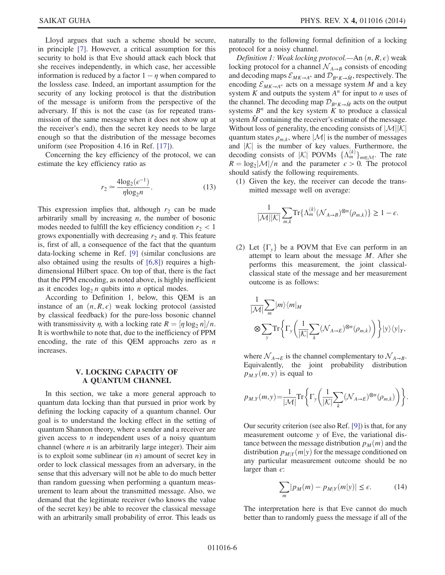Lloyd argues that such a scheme should be secure, in principle [\[7\]](#page-23-5). However, a critical assumption for this security to hold is that Eve should attack each block that she receives independently, in which case, her accessible information is reduced by a factor  $1 - \eta$  when compared to the lossless case. Indeed, an important assumption for the security of any locking protocol is that the distribution of the message is uniform from the perspective of the adversary. If this is not the case (as for repeated transmission of the same message when it does not show up at the receiver's end), then the secret key needs to be large enough so that the distribution of the message becomes uniform (see Proposition 4.16 in Ref. [\[17\]](#page-23-12)).

Concerning the key efficiency of the protocol, we can estimate the key efficiency ratio as

$$
r_2 \simeq \frac{4\log_2(\epsilon^{-1})}{\eta \log_2 n}.
$$
\n(13)

This expression implies that, although  $r_2$  can be made arbitrarily small by increasing  $n$ , the number of bosonic modes needed to fulfill the key efficiency condition  $r_2 < 1$ grows exponentially with decreasing  $r_2$  and  $\eta$ . This feature is, first of all, a consequence of the fact that the quantum data-locking scheme in Ref. [\[9\]](#page-23-10) (similar conclusions are also obtained using the results of [\[6,8\]\)](#page-23-6) requires a highdimensional Hilbert space. On top of that, there is the fact that the PPM encoding, as noted above, is highly inefficient as it encodes  $log_2 n$  qubits into n optical modes.

According to Definition 1, below, this QEM is an instance of an  $(n, R, \epsilon)$  weak locking protocol (assisted by classical feedback) for the pure-loss bosonic channel with transmissivity *n*, with a locking rate  $R = \frac{n \log_2 n}{n}$ . It is worthwhile to note that, due to the inefficiency of PPM encoding, the rate of this QEM approachs zero as  $n$ increases.

#### V. LOCKING CAPACITY OF A QUANTUM CHANNEL

<span id="page-7-0"></span>In this section, we take a more general approach to quantum data locking than that pursued in prior work by defining the locking capacity of a quantum channel. Our goal is to understand the locking effect in the setting of quantum Shannon theory, where a sender and a receiver are given access to  $n$  independent uses of a noisy quantum channel (where  $n$  is an arbitrarily large integer). Their aim is to exploit some sublinear (in  $n$ ) amount of secret key in order to lock classical messages from an adversary, in the sense that this adversary will not be able to do much better than random guessing when performing a quantum measurement to learn about the transmitted message. Also, we demand that the legitimate receiver (who knows the value of the secret key) be able to recover the classical message with an arbitrarily small probability of error. This leads us naturally to the following formal definition of a locking protocol for a noisy channel.

Definition 1: Weak locking protocol.—An  $(n, R, \epsilon)$  weak locking protocol for a channel  $\mathcal{N}_{A\rightarrow B}$  consists of encoding and decoding maps  $\mathcal{E}_{MK\to A^n}$  and  $\mathcal{D}_{B^nK\to\hat{M}}$ , respectively. The encoding  $\mathcal{E}_{MK\to A^n}$  acts on a message system M and a key system K and outputs the system  $A<sup>n</sup>$  for input to n uses of the channel. The decoding map  $\mathcal{D}_{B^nK\to\hat{M}}$  acts on the output systems  $B<sup>n</sup>$  and the key system K to produce a classical system  $\hat{M}$  containing the receiver's estimate of the message. Without loss of generality, the encoding consists of  $|\mathcal{M}||\mathcal{K}|$ quantum states  $\rho_{m,k}$ , where  $|\mathcal{M}|$  is the number of messages and  $|K|$  is the number of key values. Furthermore, the decoding consists of  $|K|$  POVMs  $\{\Lambda_m^{(k)}\}_{m \in \mathcal{M}}$ . The rate  $R = \log_{1} |M|/n$  and the parameter  $\epsilon > 0$ . The protocol  $R = \log_2 |\mathcal{M}|/n$  and the parameter  $\epsilon > 0$ . The protocol should satisfy the following requirements.

(1) Given the key, the receiver can decode the transmitted message well on average:

$$
\frac{1}{|\mathcal{M}||\mathcal{K}|} \sum_{m,k} \text{Tr} \{ \Lambda_m^{(k)}(\mathcal{N}_{A \to B})^{\otimes n}(\rho_{m,k}) \} \ge 1 - \epsilon.
$$

(2) Let  $\{\Gamma_{v}\}\$ be a POVM that Eve can perform in an attempt to learn about the message  $M$ . After she performs this measurement, the joint classicalclassical state of the message and her measurement outcome is as follows:

$$
\frac{1}{|\mathcal{M}|} \sum_{m} |m\rangle \langle m|_{M}
$$
  

$$
\otimes \sum_{y} \text{Tr} \left\{ \Gamma_{y} \left( \frac{1}{|\mathcal{K}|} \sum_{k} (\mathcal{N}_{A \to E})^{\otimes n} (\rho_{m,k}) \right) \right\} |y\rangle \langle y|_{Y},
$$

where  $\mathcal{N}_{A\rightarrow E}$  is the channel complementary to  $\mathcal{N}_{A\rightarrow B}$ . Equivalently, the joint probability distribution  $p_{M,Y}(m, y)$  is equal to

$$
p_{M,Y}(m,y) = \frac{1}{|\mathcal{M}|} \text{Tr} \left\{ \Gamma_y \left( \frac{1}{|\mathcal{K}|} \sum_k (\mathcal{N}_{A \to E})^{\otimes n} (\rho_{m,k}) \right) \right\}.
$$

<span id="page-7-1"></span>Our security criterion (see also Ref. [\[9\]\)](#page-23-10) is that, for any measurement outcome y of Eve, the variational distance between the message distribution  $p_M(m)$  and the distribution  $p_{M|Y}(m|y)$  for the message conditioned on any particular measurement outcome should be no larger than  $\epsilon$ :

$$
\sum_{m} |p_M(m) - p_{M|Y}(m|y)| \le \epsilon.
$$
 (14)

The interpretation here is that Eve cannot do much better than to randomly guess the message if all of the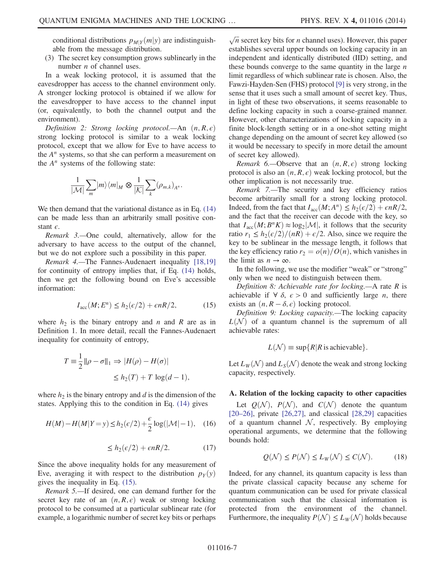conditional distributions  $p_{M|Y}(m|y)$  are indistinguishable from the message distribution.

(3) The secret key consumption grows sublinearly in the number  $n$  of channel uses.

In a weak locking protocol, it is assumed that the eavesdropper has access to the channel environment only. A stronger locking protocol is obtained if we allow for the eavesdropper to have access to the channel input (or, equivalently, to both the channel output and the environment).

Definition 2: Strong locking protocol.—An  $(n, R, \epsilon)$ strong locking protocol is similar to a weak locking protocol, except that we allow for Eve to have access to the  $A<sup>n</sup>$  systems, so that she can perform a measurement on the  $A<sup>n</sup>$  systems of the following state:

$$
\frac{1}{|\mathcal{M}|}\sum_{m}|m\rangle\langle m|_{M}\otimes\frac{1}{|\mathcal{K}|}\sum_{k}(\rho_{m,k})_{A^{n}}.
$$

We then demand that the variational distance as in Eq.  $(14)$ can be made less than an arbitrarily small positive constant  $\epsilon$ .

Remark 3.—One could, alternatively, allow for the adversary to have access to the output of the channel, but we do not explore such a possibility in this paper.

<span id="page-8-0"></span>Remark 4.—The Fannes-Audenaert inequality [\[18,19\]](#page-23-13) for continuity of entropy implies that, if Eq. [\(14\)](#page-7-1) holds, then we get the following bound on Eve's accessible information:

$$
I_{\rm acc}(M; E^n) \le h_2(\epsilon/2) + \epsilon nR/2,\tag{15}
$$

where  $h_2$  is the binary entropy and n and R are as in Definition 1. In more detail, recall the Fannes-Audenaert inequality for continuity of entropy,

$$
T \equiv \frac{1}{2} ||\rho - \sigma||_1 \Rightarrow |H(\rho) - H(\sigma)|
$$
  

$$
\leq h_2(T) + T \log(d - 1),
$$

where  $h_2$  is the binary entropy and  $d$  is the dimension of the states. Applying this to the condition in Eq. [\(14\)](#page-7-1) gives

$$
H(M) - H(M|Y = y) \le h_2(\epsilon/2) + \frac{\epsilon}{2} \log(|\mathcal{M}| - 1), \quad (16)
$$

$$
\leq h_2(\epsilon/2) + \epsilon nR/2. \tag{17}
$$

Since the above inequality holds for any measurement of Eve, averaging it with respect to the distribution  $p_Y(y)$ gives the inequality in Eq. [\(15\).](#page-8-0)

Remark 5.—If desired, one can demand further for the secret key rate of an  $(n, R, \epsilon)$  weak or strong locking protocol to be consumed at a particular sublinear rate (for example, a logarithmic number of secret key bits or perhaps

 $\sqrt{n}$  secret key bits for *n* channel uses). However, this paper establishes several upper bounds on locking capacity in an independent and identically distributed (IID) setting, and these bounds converge to the same quantity in the large  $n$ limit regardless of which sublinear rate is chosen. Also, the Fawzi-Hayden-Sen (FHS) protocol [\[9\]](#page-23-10) is very strong, in the sense that it uses such a small amount of secret key. Thus, in light of these two observations, it seems reasonable to define locking capacity in such a coarse-grained manner. However, other characterizations of locking capacity in a finite block-length setting or in a one-shot setting might change depending on the amount of secret key allowed (so it would be necessary to specify in more detail the amount of secret key allowed).

*Remark 6.*—Observe that an  $(n, R, \epsilon)$  strong locking protocol is also an  $(n, R, \epsilon)$  weak locking protocol, but the other implication is not necessarily true.

Remark 7.—The security and key efficiency ratios become arbitrarily small for a strong locking protocol. Indeed, from the fact that  $I_{\text{acc}}(M; A^n) \leq h_2(\epsilon/2) + \epsilon nR/2$ , and the fact that the receiver can decode with the key, so that  $I_{\text{acc}}(M; B^n K) \approx \log_2 |\mathcal{M}|$ , it follows that the security ratio  $r_1 \leq h_2(\epsilon/2)/(nR) + \epsilon/2$ . Also, since we require the key to be sublinear in the message length, it follows that the key efficiency ratio  $r_2 = o(n)/O(n)$ , which vanishes in the limit as  $n \to \infty$ .

In the following, we use the modifier "weak" or "strong" only when we need to distinguish between them.

Definition 8: Achievable rate for locking.—A rate  $R$  is achievable if  $\forall \delta, \epsilon > 0$  and sufficiently large *n*, there exists an  $(n, R - \delta, \epsilon)$  locking protocol.

Definition 9: Locking capacity.—The locking capacity  $L(\mathcal{N})$  of a quantum channel is the supremum of all achievable rates:

$$
L(\mathcal{N}) \equiv \sup\{R|R\text{ is achievable}\}.
$$

Let  $L_W(\mathcal{N})$  and  $L_S(\mathcal{N})$  denote the weak and strong locking capacity, respectively.

#### A. Relation of the locking capacity to other capacities

<span id="page-8-1"></span>Let  $Q(\mathcal{N})$ ,  $P(\mathcal{N})$ , and  $C(\mathcal{N})$  denote the quantum  $[20-26]$  $[20-26]$ , private  $[26,27]$ , and classical  $[28,29]$  capacities of a quantum channel  $\mathcal N$ , respectively. By employing operational arguments, we determine that the following bounds hold:

$$
Q(\mathcal{N}) \le P(\mathcal{N}) \le L_W(\mathcal{N}) \le C(\mathcal{N}).\tag{18}
$$

Indeed, for any channel, its quantum capacity is less than the private classical capacity because any scheme for quantum communication can be used for private classical communication such that the classical information is protected from the environment of the channel. Furthermore, the inequality  $P(\mathcal{N}) \leq L_W(\mathcal{N})$  holds because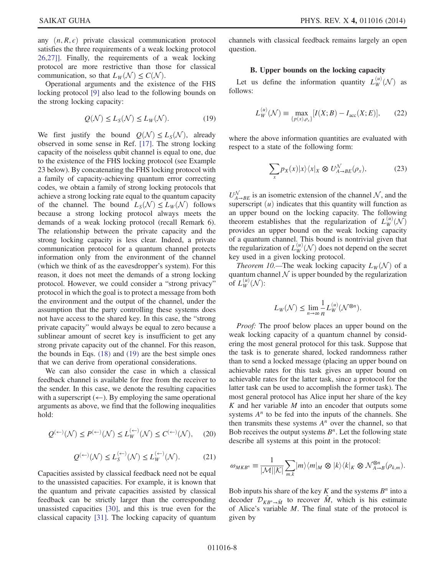any  $(n, R, \epsilon)$  private classical communication protocol satisfies the three requirements of a weak locking protocol 26,27]]. Finally, the requirements of a weak locking protocol are more restrictive than those for classical communication, so that  $L_W(\mathcal{N}) \leq C(\mathcal{N})$ .

<span id="page-9-0"></span>Operational arguments and the existence of the FHS locking protocol [\[9\]](#page-23-10) also lead to the following bounds on the strong locking capacity:

$$
Q(\mathcal{N}) \le L_S(\mathcal{N}) \le L_W(\mathcal{N}).\tag{19}
$$

We first justify the bound  $Q(\mathcal{N}) \leq L_S(\mathcal{N})$ , already observed in some sense in Ref. [\[17\].](#page-23-12) The strong locking capacity of the noiseless qubit channel is equal to one, due to the existence of the FHS locking protocol (see Example 23 below). By concatenating the FHS locking protocol with a family of capacity-achieving quantum error correcting codes, we obtain a family of strong locking protocols that achieve a strong locking rate equal to the quantum capacity of the channel. The bound  $L_S(\mathcal{N}) \leq L_W(\mathcal{N})$  follows because a strong locking protocol always meets the demands of a weak locking protocol (recall Remark 6). The relationship between the private capacity and the strong locking capacity is less clear. Indeed, a private communication protocol for a quantum channel protects information only from the environment of the channel (which we think of as the eavesdropper's system). For this reason, it does not meet the demands of a strong locking protocol. However, we could consider a "strong privacy" protocol in which the goal is to protect a message from both the environment and the output of the channel, under the assumption that the party controlling these systems does not have access to the shared key. In this case, the "strong private capacity" would always be equal to zero because a sublinear amount of secret key is insufficient to get any strong private capacity out of the channel. For this reason, the bounds in Eqs. [\(18\)](#page-8-1) and [\(19\)](#page-9-0) are the best simple ones that we can derive from operational considerations.

We can also consider the case in which a classical feedback channel is available for free from the receiver to the sender. In this case, we denote the resulting capacities with a superscript  $(\leftarrow)$ . By employing the same operational arguments as above, we find that the following inequalities hold:

<span id="page-9-3"></span>
$$
\mathcal{Q}^{(\leftarrow)}(\mathcal{N}) \le P^{(\leftarrow)}(\mathcal{N}) \le L_W^{(\leftarrow)}(\mathcal{N}) \le C^{(\leftarrow)}(\mathcal{N}), \quad (20)
$$

$$
Q^{(\leftarrow)}(\mathcal{N}) \le L_S^{(\leftarrow)}(\mathcal{N}) \le L_W^{(\leftarrow)}(\mathcal{N}).\tag{21}
$$

Capacities assisted by classical feedback need not be equal to the unassisted capacities. For example, it is known that the quantum and private capacities assisted by classical feedback can be strictly larger than the corresponding unassisted capacities [\[30\],](#page-23-17) and this is true even for the classical capacity [\[31\].](#page-24-0) The locking capacity of quantum channels with classical feedback remains largely an open question.

#### B. Upper bounds on the locking capacity

<span id="page-9-2"></span>Let us define the information quantity  $L_W^{(u)}(\mathcal{N})$  as lows: follows:

$$
L_W^{(u)}(\mathcal{N}) \equiv \max_{\{p(x), \rho_x\}} [I(X; B) - I_{\text{acc}}(X; E)], \qquad (22)
$$

<span id="page-9-1"></span>where the above information quantities are evaluated with respect to a state of the following form:

$$
\sum_{x} p_X(x) |x\rangle\langle x|_X \otimes U^{\mathcal{N}}_{A \to BE}(\rho_x), \tag{23}
$$

 $U_{A\rightarrow BE}^{\mathcal{N}}$  is an isometric extension of the channel  $\mathcal{N}$ , and the superscript  $(u)$  indicates that this quantity will function as an upper bound on the locking capacity. The following theorem establishes that the regularization of  $L_W^{(u)}(\mathcal{N})$ <br>provides an upper bound on the weak locking capacity provides an upper bound on the weak locking capacity of a quantum channel. This bound is nontrivial given that the regularization of  $L_W^{(u)}(\mathcal{N})$  does not depend on the secret<br>key used in a given locking protocol key used in a given locking protocol.

*Theorem 10.*—The weak locking capacity  $L_W(\mathcal{N})$  of a quantum channel  $N$  is upper bounded by the regularization of  $L_W^{(u)}(\mathcal{N})$ :

$$
L_W(\mathcal{N}) \le \lim_{n \to \infty} \frac{1}{n} L_W^{(u)}(\mathcal{N}^{\otimes n}).
$$

Proof: The proof below places an upper bound on the weak locking capacity of a quantum channel by considering the most general protocol for this task. Suppose that the task is to generate shared, locked randomness rather than to send a locked message (placing an upper bound on achievable rates for this task gives an upper bound on achievable rates for the latter task, since a protocol for the latter task can be used to accomplish the former task). The most general protocol has Alice input her share of the key K and her variable M into an encoder that outputs some systems  $A<sup>n</sup>$  to be fed into the inputs of the channels. She then transmits these systems  $A<sup>n</sup>$  over the channel, so that Bob receives the output systems  $B<sup>n</sup>$ . Let the following state describe all systems at this point in the protocol:

$$
\omega_{MKB^n} \equiv \frac{1}{|\mathcal{M}||\mathcal{K}|} \sum_{m,k} |m\rangle \langle m|_M \otimes |k\rangle \langle k|_K \otimes \mathcal{N}_{A \to B}^{\otimes n}(\rho_{k,m}).
$$

Bob inputs his share of the key  $K$  and the systems  $B<sup>n</sup>$  into a decoder  $\mathcal{D}_{KB^n\to\hat{M}}$  to recover  $\hat{M}$ , which is his estimate of Alice's variable M. The final state of the protocol is given by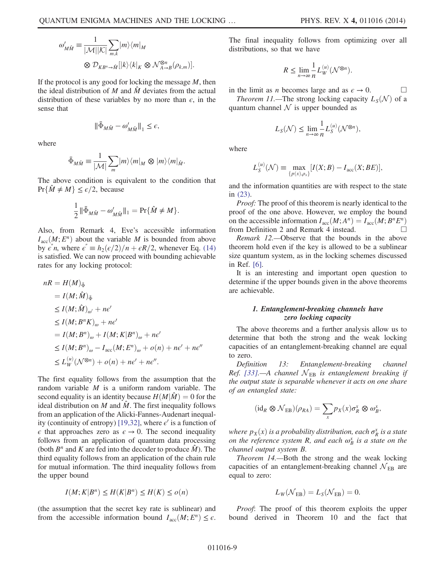$$
\omega'_{M\hat{M}} \equiv \frac{1}{|\mathcal{M}||\mathcal{K}|} \sum_{m,k} |m\rangle \langle m|_{M}
$$
  

$$
\otimes \mathcal{D}_{KB^n \to \hat{M}}[|k\rangle \langle k|_{K} \otimes \mathcal{N}_{A \to B}^{\otimes n}(\rho_{k,m})].
$$

If the protocol is any good for locking the message  $M$ , then the ideal distribution of M and  $\hat{M}$  deviates from the actual distribution of these variables by no more than  $\epsilon$ , in the sense that

$$
\|\bar\Phi_{M\hat M}-\omega'_{M\hat M}\|_1\leq \epsilon,
$$

where

$$
\bar{\Phi}_{M\hat{M}} \equiv \frac{1}{|\mathcal{M}|} \sum_{m} |m\rangle \langle m|_{M} \otimes |m\rangle \langle m|_{\hat{M}}.
$$

The above condition is equivalent to the condition that  $Pr{\{\hat{M} \neq M\}} \leq \epsilon/2$ , because

$$
\frac{1}{2} \|\bar{\Phi}_{M\hat{M}} - \omega'_{M\hat{M}}\|_1 = \Pr{\hat{M} \neq M}.
$$

Also, from Remark 4, Eve's accessible information  $I_{\text{acc}}(M; E^n)$  about the variable M is bounded from above by  $\epsilon$ <sup>"</sup> n, where  $\epsilon$ <sup>"</sup> =  $h_2(\epsilon/2)/n + \epsilon R/2$ , whenever Eq. [\(14\)](#page-7-1) is satisfied. We can now proceed with bounding achievable is satisfied. We can now proceed with bounding achievable rates for any locking protocol:

$$
nR = H(M)_{\bar{\Phi}}
$$
  
\n
$$
= I(M; \hat{M})_{\bar{\Phi}}
$$
  
\n
$$
\leq I(M; \hat{M})_{\omega'} + n\epsilon'
$$
  
\n
$$
\leq I(M; B^n K)_{\omega} + n\epsilon'
$$
  
\n
$$
= I(M; B^n)_{\omega} + I(M; K|B^n)_{\omega} + n\epsilon'
$$
  
\n
$$
\leq I(M; B^n)_{\omega} - I_{\text{acc}}(M; E^n)_{\omega} + o(n) + n\epsilon' + n\epsilon''
$$
  
\n
$$
\leq L_W^{(\mu)}(\mathcal{N}^{\otimes n}) + o(n) + n\epsilon' + n\epsilon''.
$$

The first equality follows from the assumption that the random variable  $M$  is a uniform random variable. The second equality is an identity because  $H(M|\hat{M}) = 0$  for the ideal distribution on M and  $\hat{M}$ . The first inequality follows from an application of the Alicki-Fannes-Audenart inequal-ity (continuity of entropy) [\[19,32\]](#page-23-18), where  $\epsilon'$  is a function of  $\epsilon$  that approaches zero as  $\epsilon \to 0$ . The second inequality follows from an application of quantum data processing (both  $B<sup>n</sup>$  and K are fed into the decoder to produce  $\dot{M}$ ). The third equality follows from an application of the chain rule for mutual information. The third inequality follows from the upper bound

$$
I(M; K|B^n) \le H(K|B^n) \le H(K) \le o(n)
$$

(the assumption that the secret key rate is sublinear) and from the accessible information bound  $I_{\text{acc}}(M; E^n) \leq \epsilon$ . The final inequality follows from optimizing over all distributions, so that we have

$$
R \le \lim_{n \to \infty} \frac{1}{n} L_W^{(u)}(\mathcal{N}^{\otimes n}).
$$

in the limit as *n* becomes large and as  $\epsilon \to 0$ .  $\Box$ 

*Theorem 11.*—The strong locking capacity  $L_S(\mathcal{N})$  of a quantum channel  $\mathcal N$  is upper bounded as

$$
L_S(\mathcal{N}) \le \lim_{n \to \infty} \frac{1}{n} L_S^{(u)}(\mathcal{N}^{\otimes n}),
$$

where

$$
L_S^{(u)}(\mathcal{N}) \equiv \max_{\{p(x),\rho_x\}} [I(X;B) - I_{\text{acc}}(X;BE)],
$$

and the information quantities are with respect to the state in [\(23\)](#page-9-1).

Proof: The proof of this theorem is nearly identical to the proof of the one above. However, we employ the bound on the accessible information  $I_{\text{acc}}(M; A^n) = I_{\text{acc}}(M; B^n E^n)$ <br>from Definition 2 and Remark 4 instead. from Definition 2 and Remark 4 instead.

Remark 12.—Observe that the bounds in the above theorem hold even if the key is allowed to be a sublinear size quantum system, as in the locking schemes discussed in Ref. [\[6\]](#page-23-6).

It is an interesting and important open question to determine if the upper bounds given in the above theorems are achievable.

#### 1. Entanglement-breaking channels have zero locking capacity

The above theorems and a further analysis allow us to determine that both the strong and the weak locking capacities of an entanglement-breaking channel are equal to zero.

Definition 13: Entanglement-breaking channel Ref. [\[33\].](#page-24-1)—A channel  $N_{\text{FB}}$  is entanglement breaking if the output state is separable whenever it acts on one share of an entangled state:

$$
(\mathrm{id}_R \otimes \mathcal{N}_{EB})(\rho_{RA}) = \sum_{x} p_X(x) \sigma_R^x \otimes \omega_B^x,
$$

where  $p_X(x)$  is a probability distribution, each  $\sigma_K^x$  is a state<br>on the reference system R, and each  $\sigma^x$  is a state on the on the reference system R, and each  $\omega_B^{\mathrm{x}}$  is a state on the channel output system B.

Theorem 14.—Both the strong and the weak locking capacities of an entanglement-breaking channel  $N_{EB}$  are equal to zero:

$$
L_W(\mathcal{N}_{EB}) = L_S(\mathcal{N}_{EB}) = 0.
$$

*Proof*: The proof of this theorem exploits the upper bound derived in Theorem 10 and the fact that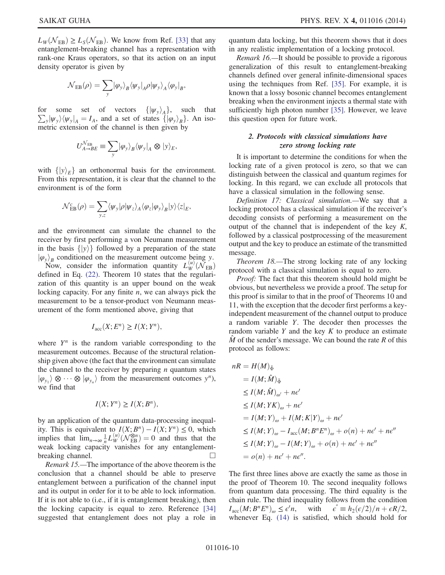$L_W(\mathcal{N}_{EB}) \ge L_S(\mathcal{N}_{EB})$ . We know from Ref. [\[33\]](#page-24-1) that any entanglement-breaking channel has a representation with rank-one Kraus operators, so that its action on an input density operator is given by

$$
\mathcal{N}_{\rm EB}(\rho)=\sum_{\mathbf{y}}|\varphi_{\mathbf{y}}\rangle_B\langle\psi_{\mathbf{y}}|_A\rho|\psi_{\mathbf{y}}\rangle_A\langle\varphi_{\mathbf{y}}|_B,
$$

for some set of vectors  $\{|\psi_y\rangle_A\}$ , such that  $\sum_{y} |\psi_y\rangle \langle \psi_y|_A = I_A$ , and a set of states  $\{|\varphi_y\rangle_B\}$ . An iso- $\langle y|y_y\rangle \langle \psi_y|_A = I_A$ , and a set of states  $\{|\varphi_y\rangle_B\}$ . An isometric extension of the channel is then given by

$$
U_{A\to BE}^{\mathcal{N}_{\rm EB}}\equiv \sum_{\mathbf{y}}|\varphi_{\mathbf{y}}\rangle_B\langle \psi_{\mathbf{y}}|_A\otimes|\mathbf{y}\rangle_E,
$$

with  $\{|y\rangle_E\}$  an orthonormal basis for the environment. From this representation, it is clear that the channel to the environment is of the form

$$
\mathcal{N}_{\rm EB}^c(\rho)=\sum_{y,z}\langle\psi_y|\rho|\psi_z\rangle_A\langle\varphi_z|\varphi_y\rangle_B|y\rangle\langle z|_E,
$$

and the environment can simulate the channel to the receiver by first performing a von Neumann measurement in the basis  $\{|y\rangle\}$  followed by a preparation of the state  $|\varphi_y\rangle_B$  conditioned on the measurement outcome being y.

Now, consider the information quantity  $L_W^{(u)}(\tilde{\mathcal{N}}_{EB})$ <br>fined in Eq. (22) Theorem 10 states that the regularidefined in Eq. [\(22\)](#page-9-2). Theorem 10 states that the regularization of this quantity is an upper bound on the weak locking capacity. For any finite  $n$ , we can always pick the measurement to be a tensor-product von Neumann measurement of the form mentioned above, giving that

$$
I_{\rm acc}(X; E^n) \ge I(X; Y^n),
$$

where  $Y<sup>n</sup>$  is the random variable corresponding to the measurement outcomes. Because of the structural relationship given above (the fact that the environment can simulate the channel to the receiver by preparing  $n$  quantum states  $|\varphi_{y_1}\rangle \otimes \cdots \otimes |\varphi_{y_n}\rangle$  from the measurement outcomes  $y^n$ ), we find that we find that

$$
I(X;Y^n) \ge I(X;B^n),
$$

by an application of the quantum data-processing inequality. This is equivalent to  $I(X; B^n) - I(X; Y^n) \leq 0$ , which implies that  $\lim_{n\to\infty} \frac{1}{n} L_W^{(u)} (\mathcal{N}_{EB}^{\otimes n}) = 0$  and thus that the weak locking canacity vanishes for any entanglementweak locking capacity vanishes for any entanglementbreaking channel. □

Remark 15.—The importance of the above theorem is the conclusion that a channel should be able to preserve entanglement between a purification of the channel input and its output in order for it to be able to lock information. If it is not able to (i.e., if it is entanglement breaking), then the locking capacity is equal to zero. Reference [\[34\]](#page-24-2) suggested that entanglement does not play a role in quantum data locking, but this theorem shows that it does in any realistic implementation of a locking protocol.

Remark 16.—It should be possible to provide a rigorous generalization of this result to entanglement-breaking channels defined over general infinite-dimensional spaces using the techniques from Ref. [\[35\].](#page-24-3) For example, it is known that a lossy bosonic channel becomes entanglement breaking when the environment injects a thermal state with sufficiently high photon number [\[35\].](#page-24-3) However, we leave this question open for future work.

## 2. Protocols with classical simulations have zero strong locking rate

It is important to determine the conditions for when the locking rate of a given protocol is zero, so that we can distinguish between the classical and quantum regimes for locking. In this regard, we can exclude all protocols that have a classical simulation in the following sense.

Definition 17: Classical simulation.—We say that a locking protocol has a classical simulation if the receiver's decoding consists of performing a measurement on the output of the channel that is independent of the key  $K$ , followed by a classical postprocessing of the measurement output and the key to produce an estimate of the transmitted message.

Theorem 18.—The strong locking rate of any locking protocol with a classical simulation is equal to zero.

Proof: The fact that this theorem should hold might be obvious, but nevertheless we provide a proof. The setup for this proof is similar to that in the proof of Theorems 10 and 11, with the exception that the decoder first performs a keyindependent measurement of the channel output to produce a random variable Y. The decoder then processes the random variable  $Y$  and the key  $K$  to produce an estimate  $\hat{M}$  of the sender's message. We can bound the rate R of this protocol as follows:

$$
nR = H(M)_{\bar{\Phi}}
$$
  
=  $I(M; \hat{M})_{\bar{\Phi}}$   
 $\leq I(M; \hat{M})_{\omega'} + n\epsilon'$   
 $\leq I(M; YK)_{\omega} + n\epsilon'$   
=  $I(M; Y)_{\omega} + I(M; K|Y)_{\omega} + n\epsilon'$   
 $\leq I(M; Y)_{\omega} - I_{\text{acc}}(M; B^n E^n)_{\omega} + o(n) + n\epsilon' + n\epsilon''$   
 $\leq I(M; Y)_{\omega} - I(M; Y)_{\omega} + o(n) + n\epsilon' + n\epsilon''$   
=  $o(n) + n\epsilon' + n\epsilon''$ .

The first three lines above are exactly the same as those in the proof of Theorem 10. The second inequality follows from quantum data processing. The third equality is the chain rule. The third inequality follows from the condition  $I_{\rm acc}(M; B^n E^n)_{\omega} \leq \epsilon' n$ , with  $\epsilon'' \equiv h_2(\epsilon/2)/n + \epsilon R/2$ , whenever Eq. [\(14\)](#page-7-1) is satisfied, which should hold for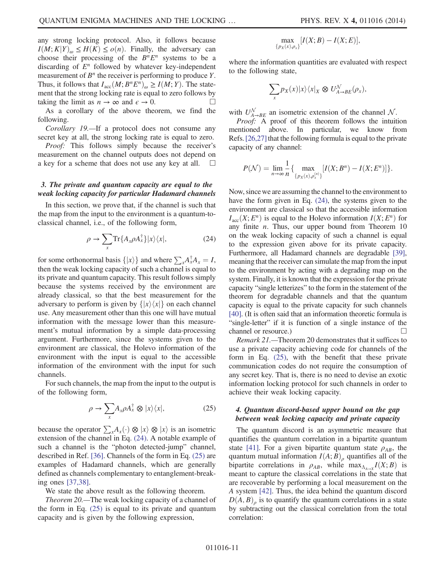any strong locking protocol. Also, it follows because  $I(M; K|Y)_{\omega} \leq H(K) \leq o(n)$ . Finally, the adversary can choose their processing of the  $B^nE^n$  systems to be a discarding of  $E<sup>n</sup>$  followed by whatever key-independent measurement of  $B<sup>n</sup>$  the receiver is performing to produce Y. Thus, it follows that  $I_{\text{acc}}(M; B^n E^n)_{\omega} \ge I(M; Y)$ . The statement that the strong locking rate is equal to zero follows by taking the limit as  $n \to \infty$  and  $\epsilon \to 0$ .

As a corollary of the above theorem, we find the following.

Corollary 19.—If a protocol does not consume any secret key at all, the strong locking rate is equal to zero.

*Proof:* This follows simply because the receiver's measurement on the channel outputs does not depend on a key for a scheme that does not use any key at all.

#### 3. The private and quantum capacity are equal to the weak locking capacity for particular Hadamard channels

<span id="page-12-0"></span>In this section, we prove that, if the channel is such that the map from the input to the environment is a quantum-toclassical channel, i.e., of the following form,

$$
\rho \to \sum_{x} \text{Tr}\{A_{x}\rho A_{x}^{\dagger}\}|x\rangle\langle x|,\tag{24}
$$

for some orthonormal basis  $\{|x\rangle\}$  and where  $\sum_{x} A_{x}^{\dagger} A_{x} = I$ ,<br>then the weak locking capacity of such a channel is equal to then the weak locking capacity of such a channel is equal to its private and quantum capacity. This result follows simply because the systems received by the environment are already classical, so that the best measurement for the adversary to perform is given by  $\{|x\rangle\langle x|\}$  on each channel use. Any measurement other than this one will have mutual information with the message lower than this measurement's mutual information by a simple data-processing argument. Furthermore, since the systems given to the environment are classical, the Holevo information of the environment with the input is equal to the accessible information of the environment with the input for such channels.

<span id="page-12-1"></span>For such channels, the map from the input to the output is of the following form,

$$
\rho \to \sum_{x} A_{x} \rho A_{x}^{\dagger} \otimes |x\rangle\langle x|, \tag{25}
$$

because the operator  $\sum_{x}A_{x}(\cdot)\otimes|x\rangle\otimes|x\rangle$  is an isometric extension of the channel in Eq. [\(24\).](#page-12-0) A notable example of such a channel is the "photon detected-jump" channel, described in Ref. [\[36\]](#page-24-4). Channels of the form in Eq. [\(25\)](#page-12-1) are examples of Hadamard channels, which are generally defined as channels complementary to entanglement-breaking ones [\[37,38\]](#page-24-5).

We state the above result as the following theorem.

Theorem 20.—The weak locking capacity of a channel of the form in Eq. [\(25\)](#page-12-1) is equal to its private and quantum capacity and is given by the following expression,

$$
\max_{\{p_X(x),\rho_X\}}[I(X;B)-I(X;E)],
$$

where the information quantities are evaluated with respect to the following state,

$$
\sum_{x} p_X(x) |x\rangle\langle x|_X \otimes U_{A\to BE}^{\mathcal{N}}(\rho_x),
$$

with  $U_{A\rightarrow BE}^{\mathcal{N}}$  an isometric extension of the channel  $\mathcal{N}$ .

Proof: A proof of this theorem follows the intuition mentioned above. In particular, we know from Refs.  $[26,27]$  that the following formula is equal to the private capacity of any channel:

$$
P(\mathcal{N}) = \lim_{n \to \infty} \frac{1}{n} \{ \max_{\{p_X(x), \rho_X^{(n)}\}} [I(X; B^n) - I(X; E^n)] \}.
$$

Now, since we are assuming the channel to the environment to have the form given in Eq. [\(24\),](#page-12-0) the systems given to the environment are classical so that the accessible information  $I_{\text{acc}}(X; E^n)$  is equal to the Holevo information  $I(X; E^n)$  for any finite  $n$ . Thus, our upper bound from Theorem 10 on the weak locking capacity of such a channel is equal to the expression given above for its private capacity. Furthermore, all Hadamard channels are degradable [\[39\]](#page-24-6), meaning that the receiver can simulate the map from the input to the environment by acting with a degrading map on the system. Finally, it is known that the expression for the private capacity "single letterizes" to the form in the statement of the theorem for degradable channels and that the quantum capacity is equal to the private capacity for such channels [\[40\].](#page-24-7) (It is often said that an information theoretic formula is "single-letter" if it is function of a single instance of the channel or resource.)  $\Box$ 

Remark 21.—Theorem 20 demonstrates that it suffices to use a private capacity achieving code for channels of the form in Eq. [\(25\),](#page-12-1) with the benefit that these private communication codes do not require the consumption of any secret key. That is, there is no need to devise an exotic information locking protocol for such channels in order to achieve their weak locking capacity.

#### 4. Quantum discord-based upper bound on the gap between weak locking capacity and private capacity

The quantum discord is an asymmetric measure that quantifies the quantum correlation in a bipartite quantum state [\[41\]](#page-24-8). For a given bipartite quantum state  $\rho_{AB}$ , the quantum mutual information  $I(A; B)$ <sub>o</sub> quantifies all of the bipartite correlations in  $\rho_{AB}$ , while max<sub> $\Lambda_{A\rightarrow Y} I(X;B)$ </sub> is meant to capture the classical correlations in the state that are recoverable by performing a local measurement on the A system [\[42\]](#page-24-9). Thus, the idea behind the quantum discord  $D(A, B)$ <sub>o</sub> is to quantify the quantum correlations in a state by subtracting out the classical correlation from the total correlation: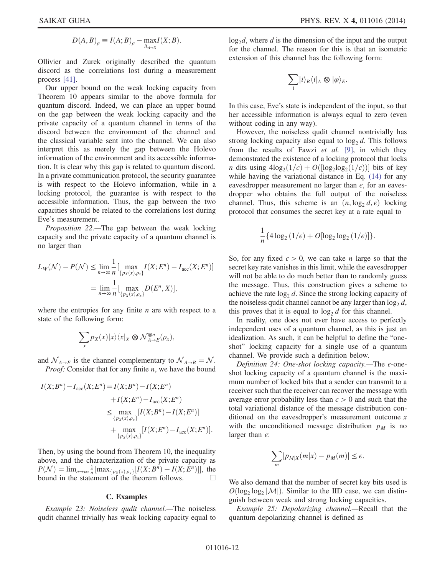$$
D(A, B)_{\rho} \equiv I(A; B)_{\rho} - \max_{\Lambda_{A \to X}} I(X; B).
$$

Ollivier and Zurek originally described the quantum discord as the correlations lost during a measurement process [\[41\]](#page-24-8).

Our upper bound on the weak locking capacity from Theorem 10 appears similar to the above formula for quantum discord. Indeed, we can place an upper bound on the gap between the weak locking capacity and the private capacity of a quantum channel in terms of the discord between the environment of the channel and the classical variable sent into the channel. We can also interpret this as merely the gap between the Holevo information of the environment and its accessible information. It is clear why this gap is related to quantum discord. In a private communication protocol, the security guarantee is with respect to the Holevo information, while in a locking protocol, the guarantee is with respect to the accessible information. Thus, the gap between the two capacities should be related to the correlations lost during Eve's measurement.

Proposition 22.—The gap between the weak locking capacity and the private capacity of a quantum channel is no larger than

$$
L_W(\mathcal{N}) - P(\mathcal{N}) \le \lim_{n \to \infty} \frac{1}{n} \left[ \max_{\{p_X(x), \rho_X\}} I(X; E^n) - I_{\text{acc}}(X; E^n) \right]
$$

$$
= \lim_{n \to \infty} \frac{1}{n} \left[ \max_{\{p_X(x), \rho_X\}} D(E^n, X) \right],
$$

where the entropies for any finite  $n$  are with respect to a state of the following form:

$$
\sum_{x} p_X(x) |x\rangle\langle x|_X \otimes \mathcal{N}_{A \to E}^{\otimes n}(\rho_x),
$$

and  $\mathcal{N}_{A\rightarrow E}$  is the channel complementary to  $\mathcal{N}_{A\rightarrow B} = \mathcal{N}$ . *Proof:* Consider that for any finite  $n$ , we have the bound

$$
I(X;B^{n}) - I_{\text{acc}}(X;E^{n}) = I(X;B^{n}) - I(X;E^{n})
$$
  
+ 
$$
I(X;E^{n}) - I_{\text{acc}}(X;E^{n})
$$
  

$$
\leq \max_{\{p_{X}(x),\rho_{x}\}} [I(X;B^{n}) - I(X;E^{n})]
$$
  
+ 
$$
\max_{\{p_{X}(x),\rho_{x}\}} [I(X;E^{n}) - I_{\text{acc}}(X;E^{n})].
$$

Then, by using the bound from Theorem 10, the inequality above, and the characterization of the private capacity as  $P(\mathcal{N}) = \lim_{n \to \infty} \frac{1}{n} [\max_{\{p_X(x), \rho_X\}}[I(X; B^n) - I(X; E^n)]],$  the hound in the statement of the theorem follows bound in the statement of the theorem follows.  $\Box$ 

#### C. Examples

Example 23: Noiseless qudit channel.—The noiseless qudit channel trivially has weak locking capacity equal to  $log_2 d$ , where d is the dimension of the input and the output for the channel. The reason for this is that an isometric extension of this channel has the following form:

$$
\sum_i \vert i \rangle_B \langle i \vert_A \otimes \vert \varphi \rangle_E.
$$

In this case, Eve's state is independent of the input, so that her accessible information is always equal to zero (even without coding in any way).

However, the noiseless qudit channel nontrivially has strong locking capacity also equal to  $log_2 d$ . This follows from the results of Fawzi et al. [\[9\],](#page-23-10) in which they demonstrated the existence of a locking protocol that locks *n* dits using  $4\log_2(1/\epsilon) + O(\log_2\log_2(1/\epsilon))$  bits of key while having the variational distance in Eq.  $(14)$  for any eavesdropper measurement no larger than  $\epsilon$ , for an eavesdropper who obtains the full output of the noiseless channel. Thus, this scheme is an  $(n, \log_2 d, \epsilon)$  locking protocol that consumes the secret key at a rate equal to

$$
\frac{1}{n}\left\{4\log_2\left(1/\epsilon\right) + O\left[\log_2\log_2\left(1/\epsilon\right)\right]\right\}.
$$

So, for any fixed  $\epsilon > 0$ , we can take *n* large so that the secret key rate vanishes in this limit, while the eavesdropper will not be able to do much better than to randomly guess the message. Thus, this construction gives a scheme to achieve the rate  $log_2 d$ . Since the strong locking capacity of the noiseless qudit channel cannot be any larger than  $\log_2 d$ , this proves that it is equal to  $log_2 d$  for this channel.

In reality, one does not ever have access to perfectly independent uses of a quantum channel, as this is just an idealization. As such, it can be helpful to define the "oneshot" locking capacity for a single use of a quantum channel. We provide such a definition below.

Definition 24: One-shot locking capacity.—The  $\epsilon$ -oneshot locking capacity of a quantum channel is the maximum number of locked bits that a sender can transmit to a receiver such that the receiver can recover the message with average error probability less than  $\epsilon > 0$  and such that the total variational distance of the message distribution conditioned on the eavesdropper's measurement outcome  $x$ with the unconditioned message distribution  $p_M$  is no larger than  $\epsilon$ :

$$
\sum_m |p_{M|X}(m|x) - p_M(m)| \le \epsilon.
$$

We also demand that the number of secret key bits used is  $O(\log_2 \log_2 |\mathcal{M}|)$ . Similar to the IID case, we can distinguish between weak and strong locking capacities.

Example 25: Depolarizing channel.—Recall that the quantum depolarizing channel is defined as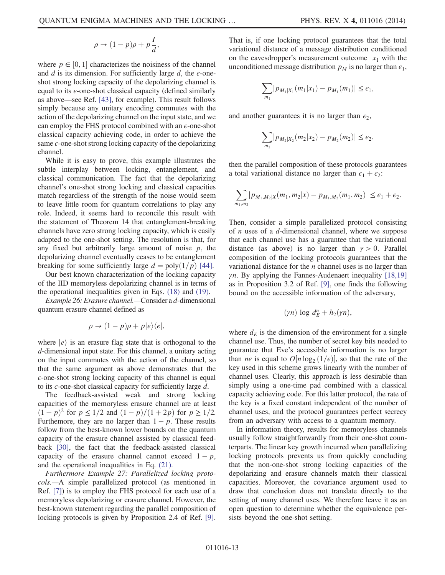$$
\rho \to (1 - p)\rho + p\frac{I}{d},
$$

where  $p \in [0, 1]$  characterizes the noisiness of the channel and d is its dimension. For sufficiently large d, the  $\epsilon$ -oneshot strong locking capacity of the depolarizing channel is equal to its  $\epsilon$ -one-shot classical capacity (defined similarly as above—see Ref. [\[43\]](#page-24-10), for example). This result follows simply because any unitary encoding commutes with the action of the depolarizing channel on the input state, and we can employ the FHS protocol combined with an  $\epsilon$ -one-shot classical capacity achieving code, in order to achieve the same  $\epsilon$ -one-shot strong locking capacity of the depolarizing channel.

While it is easy to prove, this example illustrates the subtle interplay between locking, entanglement, and classical communication. The fact that the depolarizing channel's one-shot strong locking and classical capacities match regardless of the strength of the noise would seem to leave little room for quantum correlations to play any role. Indeed, it seems hard to reconcile this result with the statement of Theorem 14 that entanglement-breaking channels have zero strong locking capacity, which is easily adapted to the one-shot setting. The resolution is that, for any fixed but arbitrarily large amount of noise  $p$ , the depolarizing channel eventually ceases to be entanglement breaking for some sufficiently large  $d = \text{poly}(1/p)$  [\[44\]](#page-24-11).

Our best known characterization of the locking capacity of the IID memoryless depolarizing channel is in terms of the operational inequalities given in Eqs. [\(18\)](#page-8-1) and [\(19\)](#page-9-0).

Example 26: Erasure channel.—Consider a d-dimensional quantum erasure channel defined as

$$
\rho \to (1-p)\rho + p|e\rangle\langle e|,
$$

where  $|e\rangle$  is an erasure flag state that is orthogonal to the d-dimensional input state. For this channel, a unitary acting on the input commutes with the action of the channel, so that the same argument as above demonstrates that the  $\epsilon$ -one-shot strong locking capacity of this channel is equal to its  $\epsilon$ -one-shot classical capacity for sufficiently large  $d$ .

The feedback-assisted weak and strong locking capacities of the memoryless erasure channel are at least  $(1-p)^2$  for  $p \leq 1/2$  and  $(1-p)/(1+2p)$  for  $p \geq 1/2$ . Furthemore, they are no larger than  $1 - p$ . These results follow from the best-known lower bounds on the quantum capacity of the erasure channel assisted by classical feedback [\[30\],](#page-23-17) the fact that the feedback-assisted classical capacity of the erasure channel cannot exceed  $1 - p$ , and the operational inequalities in Eq. [\(21\).](#page-9-3)

Furthermore Example 27: Parallelized locking protocols.—A simple parallelized protocol (as mentioned in Ref. [\[7\]](#page-23-5)) is to employ the FHS protocol for each use of a memoryless depolarizing or erasure channel. However, the best-known statement regarding the parallel composition of locking protocols is given by Proposition 2.4 of Ref. [\[9\]](#page-23-10). That is, if one locking protocol guarantees that the total variational distance of a message distribution conditioned on the eavesdropper's measurement outcome  $x_1$  with the unconditioned message distribution  $p_M$  is no larger than  $\epsilon_1$ ,

$$
\sum_{m_1} |p_{M_1|X_1}(m_1|x_1) - p_{M_1}(m_1)| \leq \epsilon_1,
$$

and another guarantees it is no larger than  $\epsilon_2$ ,

$$
\sum_{m_2} |p_{M_2|X_2}(m_2|x_2) - p_{M_2}(m_2)| \le \epsilon_2,
$$

then the parallel composition of these protocols guarantees a total variational distance no larger than  $\epsilon_1 + \epsilon_2$ :

$$
\sum_{m_1,m_2}|p_{M_1,M_2|X}(m_1,m_2|x)-p_{M_1,M_2}(m_1,m_2)|\leq \epsilon_1+\epsilon_2.
$$

Then, consider a simple parallelized protocol consisting of n uses of a d-dimensional channel, where we suppose that each channel use has a guarantee that the variational distance (as above) is no larger than  $\gamma > 0$ . Parallel composition of the locking protocols guarantees that the variational distance for the  $n$  channel uses is no larger than  $\gamma$ n. By applying the Fannes-Audenaert inequality [\[18,19\]](#page-23-13) as in Proposition 3.2 of Ref. [\[9\],](#page-23-10) one finds the following bound on the accessible information of the adversary,

$$
(\gamma n) \log d_E^n + h_2(\gamma n),
$$

where  $d_E$  is the dimension of the environment for a single channel use. Thus, the number of secret key bits needed to guarantee that Eve's accessible information is no larger than  $n\epsilon$  is equal to  $O[n \log_2(1/\epsilon)]$ , so that the rate of the key used in this scheme grows linearly with the number of channel uses. Clearly, this approach is less desirable than simply using a one-time pad combined with a classical capacity achieving code. For this latter protocol, the rate of the key is a fixed constant independent of the number of channel uses, and the protocol guarantees perfect secrecy from an adversary with access to a quantum memory.

In information theory, results for memoryless channels usually follow straightforwardly from their one-shot counterparts. The linear key growth incurred when parallelizing locking protocols prevents us from quickly concluding that the non-one-shot strong locking capacities of the depolarizing and erasure channels match their classical capacities. Moreover, the covariance argument used to draw that conclusion does not translate directly to the setting of many channel uses. We therefore leave it as an open question to determine whether the equivalence persists beyond the one-shot setting.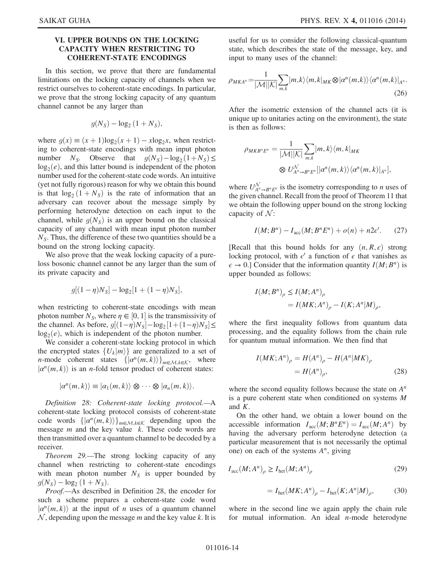## <span id="page-15-0"></span>VI. UPPER BOUNDS ON THE LOCKING CAPACITY WHEN RESTRICTING TO COHERENT-STATE ENCODINGS

In this section, we prove that there are fundamental limitations on the locking capacity of channels when we restrict ourselves to coherent-state encodings. In particular, we prove that the strong locking capacity of any quantum channel cannot be any larger than

$$
g(N_S) - \log_2\left(1 + N_S\right),\,
$$

where  $g(x) \equiv (x+1)\log_2(x+1) - x\log_2x$ , when restricting to coherent-state encodings with mean input photon number  $N_S$ . Observe that  $g(N_S) - \log_2(1+N_S) \leq$  $log_2(e)$ , and this latter bound is independent of the photon number used for the coherent-state code words. An intuitive (yet not fully rigorous) reason for why we obtain this bound is that  $log_2(1 + N_s)$  is the rate of information that an adversary can recover about the message simply by performing heterodyne detection on each input to the channel, while  $g(N<sub>S</sub>)$  is an upper bound on the classical capacity of any channel with mean input photon number  $N<sub>s</sub>$ . Thus, the difference of these two quantities should be a bound on the strong locking capacity.

We also prove that the weak locking capacity of a pureloss bosonic channel cannot be any larger than the sum of its private capacity and

$$
g[(1-\eta)N_S] - \log_2[1+(1-\eta)N_S],
$$

when restricting to coherent-state encodings with mean photon number  $N_s$ , where  $\eta \in [0, 1]$  is the transmissivity of the channel. As before,  $g[(1-\eta)N_S]-\log_2[1+(1-\eta)N_S] \leq$  $log_2(e)$ , which is independent of the photon number.

We consider a coherent-state locking protocol in which the encrypted states  $\{U_k|m\rangle\}$  are generalized to a set of *n*-mode coherent states  $\{|\alpha^n(m,k)\rangle\}_{m\in\mathcal{M},k\in\mathcal{K}}$ , where  $|\alpha^n(m, k)\rangle$  is an *n*-fold tensor product of coherent states:

$$
|\alpha^{n}(m,k)\rangle \equiv |\alpha_{1}(m,k)\rangle \otimes \cdots \otimes |\alpha_{n}(m,k)\rangle.
$$

Definition 28: Coherent-state locking protocol.—A coherent-state locking protocol consists of coherent-state code words  $\{|a^n(m,k)\rangle\}_{m\in\mathcal{M},k\in\mathcal{K}}$  depending upon the message  $m$  and the key value  $k$ . These code words are then transmitted over a quantum channel to be decoded by a receiver.

Theorem 29.—The strong locking capacity of any channel when restricting to coherent-state encodings with mean photon number  $N<sub>S</sub>$  is upper bounded by  $g(N_S) - \log_2(1 + N_S)$ .

Proof.—As described in Definition 28, the encoder for such a scheme prepares a coherent-state code word  $|\alpha^n(m, k)\rangle$  at the input of *n* uses of a quantum channel  $N$ , depending upon the message m and the key value k. It is useful for us to consider the following classical-quantum state, which describes the state of the message, key, and input to many uses of the channel:

$$
\rho_{MKA^n} = \frac{1}{|\mathcal{M}| |\mathcal{K}|} \sum_{m,k} |m,k\rangle \langle m,k|_{MK} \otimes |\alpha^n(m,k)\rangle \langle \alpha^n(m,k)|_{A^n}.
$$
\n(26)

After the isometric extension of the channel acts (it is unique up to unitaries acting on the environment), the state is then as follows:

$$
\rho_{MKB^nE^n} = \frac{1}{|\mathcal{M}||\mathcal{K}|} \sum_{m,k} |m,k\rangle \langle m,k|_{MK}
$$
  

$$
\otimes U^{\mathcal{N}}_{A^n \to B^nE^n} [|\alpha^n(m,k)\rangle \langle \alpha^n(m,k)|_{A^n}],
$$

<span id="page-15-1"></span>where  $U_{A^n \to B^n E^n}^{\mathcal{N}}$  is the isometry corresponding to *n* uses of the given channel. Recall from the proof of Theorem 11 that we obtain the following upper bound on the strong locking capacity of  $\mathcal{N}$ :

$$
I(M;Bn) - Iacc(M;BnEn) + o(n) + n2e'. \qquad (27)
$$

[Recall that this bound holds for any  $(n, R, \epsilon)$  strong locking protocol, with  $\epsilon'$  a function of  $\epsilon$  that vanishes as  $\epsilon \to 0$ .] Consider that the information quantity  $I(M; B^n)$  is upper bounded as follows:

$$
I(M; Bn)\rho \leq I(M; An)\rho
$$
  
=  $I(MK; An)\rho - I(K; An|M)\rho,$ 

where the first inequality follows from quantum data processing, and the equality follows from the chain rule for quantum mutual information. We then find that

$$
I(MK; A^{n})_{\rho} = H(A^{n})_{\rho} - H(A^{n}|MK)_{\rho}
$$
  
=  $H(A^{n})_{\rho}$ , (28)

where the second equality follows because the state on  $A<sup>n</sup>$ is a pure coherent state when conditioned on systems M and K.

On the other hand, we obtain a lower bound on the accessible information  $I_{\text{acc}}(M; B^n E^n) = I_{\text{acc}}(M; A^n)$  by having the adversary perform heterodyne detection (a particular measurement that is not necessarily the optimal one) on each of the systems  $A<sup>n</sup>$ , giving

$$
I_{\rm acc}(M; A^n)_{\rho} \ge I_{\rm het}(M; A^n)_{\rho} \tag{29}
$$

$$
=I_{\text{het}}(MK;A^{n})_{\rho}-I_{\text{het}}(K;A^{n}|M)_{\rho},\tag{30}
$$

where in the second line we again apply the chain rule for mutual information. An ideal  $n$ -mode heterodyne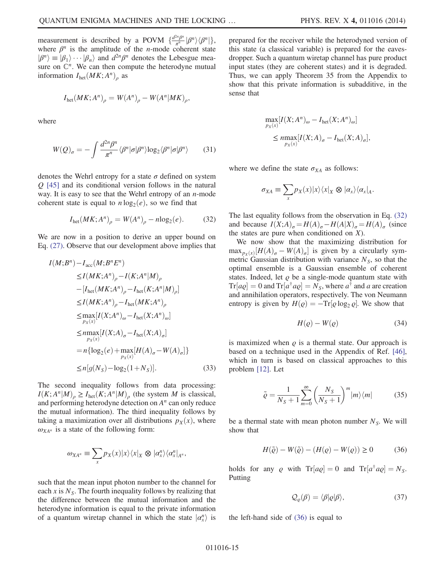measurement is described by a POVM  $\{\frac{d^{2n}\beta^n}{\pi^n}|\beta^n\rangle\langle\beta^n|\}$ ,<br>where  $\beta^n$  is the applitude of the *n*-mode coherent state where  $\beta^n$  is the amplitude of the *n*-mode coherent state  $|\beta^n\rangle \equiv |\beta_1\rangle \cdots |\beta_n\rangle$  and  $d^{2n}\beta^n$  denotes the Lebesgue mea-<br>sure on  $\mathbb{C}^n$ . We can then compute the heterodyne mutual sure on  $\mathbb{C}^n$ . We can then compute the heterodyne mutual information  $I_{\text{het}}(MK; A^n)_{\rho}$  as

$$
I_{\text{het}}(MK; A^n)_{\rho} = W(A^n)_{\rho} - W(A^n|MK)_{\rho},
$$

where

$$
W(Q)_{\sigma} = -\int \frac{d^{2n}\beta^n}{\pi^n} \langle \beta^n | \sigma | \beta^n \rangle \log_2 \langle \beta^n | \sigma | \beta^n \rangle \qquad (31)
$$

<span id="page-16-0"></span>denotes the Wehrl entropy for a state  $\sigma$  defined on system Q [\[45\]](#page-24-12) and its conditional version follows in the natural way. It is easy to see that the Wehrl entropy of an  $n$ -mode coherent state is equal to  $n \log_2(e)$ , so we find that

$$
I_{\text{het}}(MK; A^n)_{\rho} = W(A^n)_{\rho} - n \log_2(e). \tag{32}
$$

<span id="page-16-2"></span>We are now in a position to derive an upper bound on Eq. [\(27\)](#page-15-1). Observe that our development above implies that

$$
I(M;B^{n}) - I_{\text{acc}}(M;B^{n}E^{n})
$$
  
\n
$$
\leq I(MK;A^{n})_{\rho} - I(K;A^{n}|M)_{\rho}
$$
  
\n
$$
- [I_{\text{het}}(MK;A^{n})_{\rho} - I_{\text{het}}(K;A^{n}|M)_{\rho}]
$$
  
\n
$$
\leq I(MK;A^{n})_{\rho} - I_{\text{het}}(MK;A^{n})_{\rho}
$$
  
\n
$$
\leq \max_{p_X(x)} [I(X;A^{n})_{\omega} - I_{\text{het}}(X;A^{n})_{\omega}]
$$
  
\n
$$
\leq \max_{p_X(x)} [I(X;A)_{\sigma} - I_{\text{het}}(X;A)_{\sigma}]
$$
  
\n
$$
= n\{ \log_2(e) + \max_{p_X(x)} [H(A)_{\sigma} - W(A)_{\sigma}] \}
$$
  
\n
$$
\leq n[g(N_S) - \log_2(1+N_S)].
$$
\n(33)

The second inequality follows from data processing:  $I(K; A^n|M)_\rho \geq I_{\text{het}}(K; A^n|M)_\rho$  (the system M is classical, and performing heterodyne detection on  $A<sup>n</sup>$  can only reduce the mutual information). The third inequality follows by taking a maximization over all distributions  $p<sub>X</sub>(x)$ , where  $\omega_{XA^n}$  is a state of the following form:

$$
\omega_{XA^n} \equiv \sum_{x} p_X(x) |x\rangle\langle x|_X \otimes |\alpha^n_x\rangle\langle \alpha^n_x|_{A^n},
$$

such that the mean input photon number to the channel for each x is  $N<sub>S</sub>$ . The fourth inequality follows by realizing that the difference between the mutual information and the heterodyne information is equal to the private information of a quantum wiretap channel in which the state  $|\alpha_x^n\rangle$  is prepared for the receiver while the heterodyned version of this state (a classical variable) is prepared for the eavesdropper. Such a quantum wiretap channel has pure product input states (they are coherent states) and it is degraded. Thus, we can apply Theorem 35 from the Appendix to show that this private information is subadditive, in the sense that

$$
\max_{p_X(x)} [I(X; A^n)_{\omega} - I_{\text{het}}(X; A^n)_{\omega}]
$$
  
\n
$$
\leq \max_{p_X(x)} [I(X; A)_{\sigma} - I_{\text{het}}(X; A)_{\sigma}],
$$

where we define the state  $\sigma_{XA}$  as follows:

$$
\sigma_{XA} \equiv \sum_{x} p_X(x) |x\rangle\langle x|_X \otimes |\alpha_x\rangle\langle \alpha_x|_A.
$$

The last equality follows from the observation in Eq. [\(32\)](#page-16-0) and because  $I(X;A)_{\sigma} = H(A)_{\sigma} - H(A|X)_{\sigma} = H(A)_{\sigma}$  (since the states are pure when conditioned on  $X$ ).

We now show that the maximizing distribution for  $\max_{p_X(x)}[H(A)_{\sigma} - W(A)_{\sigma}]$  is given by a circularly symmetric Gaussian distribution with variance  $N<sub>S</sub>$ , so that the optimal ensemble is a Gaussian ensemble of coherent states. Indeed, let  $\rho$  be a single-mode quantum state with  $Tr[a\varrho] = 0$  and  $Tr[a^{\dagger}a\varrho] = N_S$ , where  $a^{\dagger}$  and a are creation and annihilation operators, respectively. The von Neumann entropy is given by  $H(\rho) = -\text{Tr}[\rho \log_2 \rho]$ . We show that

$$
H(\varrho) - W(\varrho) \tag{34}
$$

is maximized when  $\rho$  is a thermal state. Our approach is based on a technique used in the Appendix of Ref. [\[46\]](#page-24-13), which in turn is based on classical approaches to this problem [\[12\].](#page-23-9) Let

$$
\tilde{\varrho} = \frac{1}{N_S + 1} \sum_{m=0}^{\infty} \left( \frac{N_S}{N_S + 1} \right)^m |m\rangle \langle m| \tag{35}
$$

<span id="page-16-1"></span>be a thermal state with mean photon number  $N<sub>S</sub>$ . We will show that

$$
H(\tilde{\varrho}) - W(\tilde{\varrho}) - (H(\varrho) - W(\varrho)) \ge 0 \tag{36}
$$

holds for any  $\rho$  with  $Tr[a\varrho] = 0$  and  $Tr[a^{\dagger}a\varrho] = N_S$ . Putting

$$
\mathcal{Q}_{\varrho}(\beta) = \langle \beta | \varrho | \beta \rangle, \tag{37}
$$

the left-hand side of [\(36\)](#page-16-1) is equal to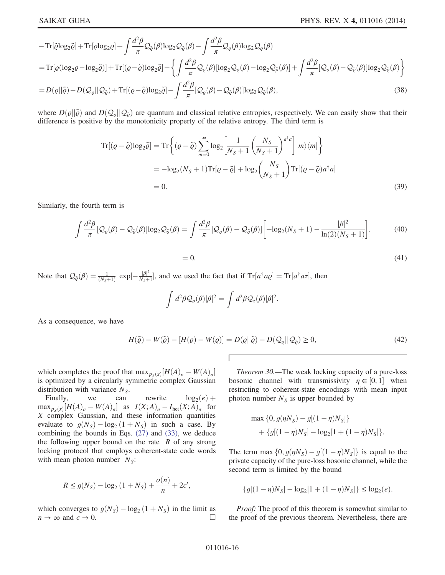$$
-Tr[\tilde{\varrho} \log_2 \tilde{\varrho}] + Tr[\varrho \log_2 \varrho] + \int \frac{d^2 \beta}{\pi} \mathcal{Q}_{\tilde{\varrho}}(\beta) \log_2 \mathcal{Q}_{\tilde{\varrho}}(\beta) - \int \frac{d^2 \beta}{\pi} \mathcal{Q}_{\varrho}(\beta) \log_2 \mathcal{Q}_{\varrho}(\beta)
$$
  
\n
$$
= Tr[\varrho (\log_2 \varrho - \log_2 \tilde{\varrho})] + Tr[(\varrho - \tilde{\varrho}) \log_2 \tilde{\varrho}] - \left\{ \int \frac{d^2 \beta}{\pi} \mathcal{Q}_{\varrho}(\beta) [\log_2 \mathcal{Q}_{\varrho}(\beta) - \log_2 \mathcal{Q}_{\tilde{\varrho}}(\beta)] + \int \frac{d^2 \beta}{\pi} [\mathcal{Q}_{\varrho}(\beta) - \mathcal{Q}_{\tilde{\varrho}}(\beta)] \log_2 \mathcal{Q}_{\tilde{\varrho}}(\beta) \right\}
$$
  
\n
$$
= D(\varrho || \tilde{\varrho}) - D(\mathcal{Q}_{\varrho} || \mathcal{Q}_{\tilde{\varrho}}) + Tr[(\varrho - \tilde{\varrho}) \log_2 \tilde{\varrho}] - \int \frac{d^2 \beta}{\pi} [\mathcal{Q}_{\varrho}(\beta) - \mathcal{Q}_{\tilde{\varrho}}(\beta)] \log_2 \mathcal{Q}_{\tilde{\varrho}}(\beta), \tag{38}
$$

where  $D(\varrho||\tilde{\varrho})$  and  $D(\mathcal{Q}_{\varrho}||\mathcal{Q}_{\tilde{\varrho}})$  are quantum and classical relative entropies, respectively. We can easily show that their difference is positive by the monotonicity property of the relative entropy. The third term is

$$
\operatorname{Tr}[(\varrho - \tilde{\varrho})\log_2 \tilde{\varrho}] = \operatorname{Tr}\left\{ (\varrho - \tilde{\varrho}) \sum_{m=0}^{\infty} \log_2 \left[ \frac{1}{N_S + 1} \left( \frac{N_S}{N_S + 1} \right)^{a^{\dagger} a} \right] |m\rangle \langle m| \right\}
$$
  

$$
= -\log_2 (N_S + 1) \operatorname{Tr}[\varrho - \tilde{\varrho}] + \log_2 \left( \frac{N_S}{N_S + 1} \right) \operatorname{Tr}[(\varrho - \tilde{\varrho})a^{\dagger} a]
$$
  

$$
= 0. \tag{39}
$$

Similarly, the fourth term is

$$
\int \frac{d^2 \beta}{\pi} [\mathcal{Q}_\varrho(\beta) - \mathcal{Q}_{\tilde{\varrho}}(\beta)] \log_2 \mathcal{Q}_{\tilde{\varrho}}(\beta) = \int \frac{d^2 \beta}{\pi} [\mathcal{Q}_\varrho(\beta) - \mathcal{Q}_{\tilde{\varrho}}(\beta)] \left[ -\log_2(N_S + 1) - \frac{|\beta|^2}{\ln(2)(N_S + 1)} \right]. \tag{40}
$$

$$
=0.\t(41)
$$

Note that  $\mathcal{Q}_{\tilde{\varrho}}(\beta) = \frac{1}{(N_S+1)} \exp[-\frac{|\beta|^2}{N_S+1}]$ , and we used the fact that if  $\text{Tr}[a^{\dagger} a \varrho] = \text{Tr}[a^{\dagger} a \tau]$ , then

$$
\int d^2 \beta \mathcal{Q}_\rho(\beta) |\beta|^2 = \int d^2 \beta \mathcal{Q}_\tau(\beta) |\beta|^2.
$$

As a consequence, we have

$$
H(\tilde{\varrho}) - W(\tilde{\varrho}) - [H(\varrho) - W(\varrho)] = D(\varrho || \tilde{\varrho}) - D(\mathcal{Q}_{\varrho} || \mathcal{Q}_{\tilde{\varrho}}) \ge 0,
$$
\n<sup>(42)</sup>

which completes the proof that  $\max_{p_X(x)}[H(A)_\sigma - W(A)_\sigma]$ is optimized by a circularly symmetric complex Gaussian distribution with variance  $N<sub>S</sub>$ .

Finally, we can rewrite  $log_2(e) +$ <br>is  $L(H(A) - W(A))$  as  $I(X \cdot A) - L(L(X \cdot A))$  for  $\max_{p_X(x)} [H(A)_{\sigma} - W(A)_{\sigma}]$  as  $I(X; A)_{\sigma} - I_{\text{het}}(X; A)_{\sigma}$  for <br>X complex Gaussian, and these information quantities X complex Gaussian, and these information quantities evaluate to  $g(N<sub>S</sub>) - \log_2(1 + N<sub>S</sub>)$  in such a case. By combining the bounds in Eqs. [\(27\)](#page-15-1) and [\(33\),](#page-16-2) we deduce the following upper bound on the rate  $R$  of any strong locking protocol that employs coherent-state code words with mean photon number  $N<sub>S</sub>$ :

$$
R \le g(N_S) - \log_2\left(1 + N_S\right) + \frac{o(n)}{n} + 2\epsilon',
$$

which converges to  $g(N_S) - \log_2(1 + N_S)$  in the limit as  $n \to \infty$  and  $\epsilon \to 0$ .  $n \to \infty$  and  $\epsilon \to 0$ .

Theorem 30.—The weak locking capacity of a pure-loss bosonic channel with transmissivity  $\eta \in [0, 1]$  when restricting to coherent-state encodings with mean input photon number  $N<sub>S</sub>$  is upper bounded by

$$
\max \{0, g(\eta N_S) - g[(1 - \eta)N_S] \} + \{g[(1 - \eta)N_S] - \log_2[1 + (1 - \eta)N_S] \}.
$$

The term max  $\{0, g(\eta N_S) - g[(1 - \eta)N_S]\}\$ is equal to the private capacity of the pure-loss bosonic channel, while the second term is limited by the bound

$$
\{g[(1-\eta)N_S] - \log_2[1 + (1-\eta)N_S]\} \le \log_2(e).
$$

*Proof:* The proof of this theorem is somewhat similar to the proof of the previous theorem. Nevertheless, there are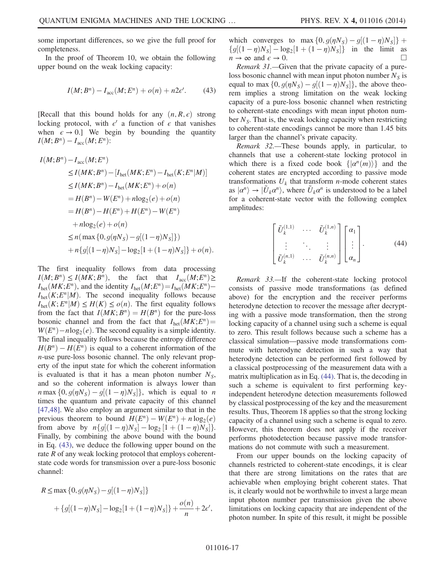some important differences, so we give the full proof for completeness.

<span id="page-18-0"></span>In the proof of Theorem 10, we obtain the following upper bound on the weak locking capacity:

$$
I(M; Bn) - Iacc(M; En) + o(n) + n2e'. \t(43)
$$

[Recall that this bound holds for any  $(n, R, \epsilon)$  strong locking protocol, with  $\epsilon'$  a function of  $\epsilon$  that vanishes when  $\epsilon \rightarrow 0$ .] We begin by bounding the quantity  $I(M;B^n)-I_{\text{acc}}(M;E^n)$ :

$$
I(M; B^n) - I_{\text{acc}}(M; E^n)
$$
  
\n
$$
\leq I(MK; B^n) - [I_{\text{het}}(MK; E^n) - I_{\text{het}}(K; E^n | M)]
$$
  
\n
$$
\leq I(MK; B^n) - I_{\text{het}}(MK; E^n) + o(n)
$$
  
\n
$$
= H(B^n) - W(E^n) + n \log_2(e) + o(n)
$$
  
\n
$$
= H(B^n) - H(E^n) + H(E^n) - W(E^n)
$$
  
\n
$$
+ n \log_2(e) + o(n)
$$
  
\n
$$
\leq n(\max\{0, g(\eta N_S) - g[(1 - \eta)N_S]\})
$$
  
\n
$$
+ n\{g[(1 - \eta)N_S] - \log_2[1 + (1 - \eta)N_S]\} + o(n).
$$

The first inequality follows from data processing  $I(M;B^n) \leq I(MK;B^n)$ , the fact that  $I_{\text{acc}}(M;E^n) \geq$  $I<sub>het</sub>(MK; E<sup>n</sup>)$ , and the identity  $I<sub>het</sub>(M; E<sup>n</sup>) = I<sub>het</sub>(MK; E<sup>n</sup>)$  $I_{\text{het}}(K;E^n|M)$ . The second inequality follows because  $I_{\text{het}}(K; E^n|M) \leq H(K) \leq o(n)$ . The first equality follows from the fact that  $I(MK;B^n) = H(B^n)$  for the pure-loss bosonic channel and from the fact that  $I_{\text{het}}(MK;E^n)$  =  $W(E<sup>n</sup>)-n\log_2(e)$ . The second equality is a simple identity. The final inequality follows because the entropy difference  $H(B^n) - H(E^n)$  is equal to a coherent information of the n-use pure-loss bosonic channel. The only relevant property of the input state for which the coherent information is evaluated is that it has a mean photon number  $N<sub>S</sub>$ , and so the coherent information is always lower than  $n \max\{0, g(\eta N_S) - g[(1 - \eta)N_S]\},$  which is equal to n times the quantum and private capacity of this channel [\[47,48\]](#page-24-14). We also employ an argument similar to that in the previous theorem to bound  $H(E^n) - W(E^n) + n \log_2(e)$ from above by  $n{g[(1 - \eta)N_S] - \log_2[1 + (1 - \eta)N_S]}.$ Finally, by combining the above bound with the bound in Eq. [\(43\),](#page-18-0) we deduce the following upper bound on the rate R of any weak locking protocol that employs coherentstate code words for transmission over a pure-loss bosonic channel:

$$
R \le \max\{0, g(\eta N_S) - g[(1 - \eta)N_S]\}
$$
  
+  $\{g[(1 - \eta)N_S] - \log_2[1 + (1 - \eta)N_S]\} + \frac{o(n)}{n} + 2\epsilon',$ 

which converges to max  $\{0, g(\eta N_S) - g[(1 - \eta)N_S]\}$  +  $\{g[(1 - \eta)N_S] - \log_2[1 + (1 - \eta)N_S]\}$  in the limit as  $n \to \infty$  and  $\epsilon \to 0$ .  $n \to \infty$  and  $\epsilon \to 0$ .

Remark 31.—Given that the private capacity of a pureloss bosonic channel with mean input photon number  $N<sub>S</sub>$  is equal to max  $\{0, g(\eta N_S) - g[(1 - \eta)N_S]\}\$ , the above theorem implies a strong limitation on the weak locking capacity of a pure-loss bosonic channel when restricting to coherent-state encodings with mean input photon number  $N<sub>S</sub>$ . That is, the weak locking capacity when restricting to coherent-state encodings cannot be more than 1.45 bits larger than the channel's private capacity.

Remark 32.—These bounds apply, in particular, to channels that use a coherent-state locking protocol in which there is a fixed code book  $\{|a^n(m)\rangle\}$  and the coherent states are encrypted according to passive mode transformations  $U_k$  that transform *n*-mode coherent states as  $|\alpha^n\rangle \rightarrow |U_k \alpha^n\rangle$ , where  $U_k \alpha^n$  is understood to be a label for a coherent-state vector with the following complex amplitudes:

<span id="page-18-1"></span>
$$
\begin{bmatrix}\n\tilde{U}_k^{(1,1)} & \cdots & \tilde{U}_k^{(1,n)} \\
\vdots & \ddots & \vdots \\
\tilde{U}_k^{(n,1)} & \cdots & \tilde{U}_k^{(n,n)}\n\end{bmatrix}\n\begin{bmatrix}\n\alpha_1 \\
\vdots \\
\alpha_n\n\end{bmatrix}.
$$
\n(44)

Remark 33.—If the coherent-state locking protocol consists of passive mode transformations (as defined above) for the encryption and the receiver performs heterodyne detection to recover the message after decrypting with a passive mode transformation, then the strong locking capacity of a channel using such a scheme is equal to zero. This result follows because such a scheme has a classical simulation—passive mode transformations commute with heterodyne detection in such a way that heterodyne detection can be performed first followed by a classical postprocessing of the measurement data with a matrix multiplication as in Eq. [\(44\)](#page-18-1). That is, the decoding in such a scheme is equivalent to first performing keyindependent heterodyne detection measurements followed by classical postprocessing of the key and the measurement results. Thus, Theorem 18 applies so that the strong locking capacity of a channel using such a scheme is equal to zero. However, this theorem does not apply if the receiver performs photodetection because passive mode transformations do not commute with such a measurement.

From our upper bounds on the locking capacity of channels restricted to coherent-state encodings, it is clear that there are strong limitations on the rates that are achievable when employing bright coherent states. That is, it clearly would not be worthwhile to invest a large mean input photon number per transmission given the above limitations on locking capacity that are independent of the photon number. In spite of this result, it might be possible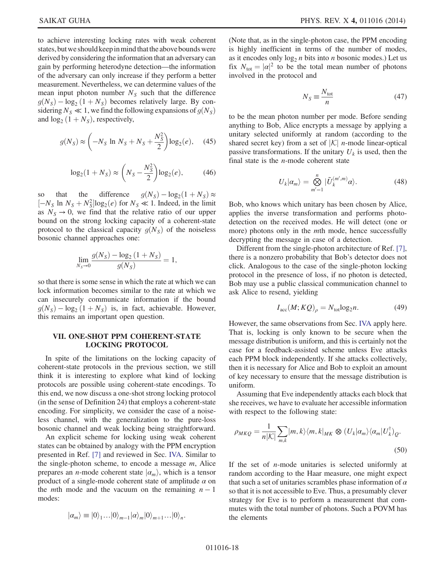to achieve interesting locking rates with weak coherent states, but we should keep in mind that the above bounds were derived by considering the information that an adversary can gain by performing heterodyne detection—the information of the adversary can only increase if they perform a better measurement. Nevertheless, we can determine values of the mean input photon number  $N<sub>S</sub>$  such that the difference  $g(N<sub>S</sub>) - \log_2(1 + N<sub>S</sub>)$  becomes relatively large. By considering  $N_S \ll 1$ , we find the following expansions of  $g(N_S)$ and  $log_2(1 + N_S)$ , respectively,

$$
g(N_S) \approx \left(-N_S \ln N_S + N_S + \frac{N_S^2}{2}\right) \log_2(e), \quad (45)
$$

$$
\log_2(1+N_S) \approx \left(N_S - \frac{N_S^2}{2}\right) \log_2(e),\tag{46}
$$

so that the difference  $g(N_S) - \log_2(1 + N_S) \approx$  $[-N<sub>S</sub> \ln N<sub>S</sub> + N<sub>S</sub><sup>2</sup>][\log_2(e) \text{ for } N<sub>S</sub> \ll 1. \text{ Indeed, in the limit}$ as  $N<sub>S</sub> \rightarrow 0$ , we find that the relative ratio of our upper bound on the strong locking capacity of a coherent-state protocol to the classical capacity  $g(N<sub>S</sub>)$  of the noiseless bosonic channel approaches one:

$$
\lim_{N_S \to 0} \frac{g(N_S) - \log_2(1 + N_S)}{g(N_S)} = 1,
$$

so that there is some sense in which the rate at which we can lock information becomes similar to the rate at which we can insecurely communicate information if the bound  $g(N<sub>S</sub>) - \log_2(1 + N<sub>S</sub>)$  is, in fact, achievable. However, this remains an important open question.

## <span id="page-19-0"></span>VII. ONE-SHOT PPM COHERENT-STATE LOCKING PROTOCOL

In spite of the limitations on the locking capacity of coherent-state protocols in the previous section, we still think it is interesting to explore what kind of locking protocols are possible using coherent-state encodings. To this end, we now discuss a one-shot strong locking protocol (in the sense of Definition 24) that employs a coherent-state encoding. For simplicity, we consider the case of a noiseless channel, with the generalization to the pure-loss bosonic channel and weak locking being straightforward.

An explicit scheme for locking using weak coherent states can be obtained by analogy with the PPM encryption presented in Ref. [\[7\]](#page-23-5) and reviewed in Sec. [IVA.](#page-6-3) Similar to the single-photon scheme, to encode a message  $m$ , Alice prepares an *n*-mode coherent state  $|\alpha_m\rangle$ , which is a tensor product of a single-mode coherent state of amplitude  $\alpha$  on the *mth* mode and the vacuum on the remaining  $n - 1$ modes:

$$
|\alpha_m\rangle \equiv |0\rangle_1...|0\rangle_{m-1}|\alpha\rangle_m|0\rangle_{m+1}...|0\rangle_n.
$$

(Note that, as in the single-photon case, the PPM encoding is highly inefficient in terms of the number of modes, as it encodes only  $log_2 n$  bits into *n* bosonic modes.) Let us fix  $N_{\text{tot}} = |\alpha|^2$  to be the total mean number of photons<br>involved in the protocol and involved in the protocol and

$$
N_S \equiv \frac{N_{\text{tot}}}{n} \tag{47}
$$

to be the mean photon number per mode. Before sending anything to Bob, Alice encrypts a message by applying a unitary selected uniformly at random (according to the shared secret key) from a set of  $|K|$  *n*-mode linear-optical passive transformations. If the unitary  $U_k$  is used, then the final state is the  $n$ -mode coherent state

$$
U_k|\alpha_m\rangle = \bigotimes_{m'=1}^n |\tilde{U}_k^{(m',m)}\alpha\rangle.
$$
 (48)

Bob, who knows which unitary has been chosen by Alice, applies the inverse transformation and performs photodetection on the received modes. He will detect (one or more) photons only in the *mth* mode, hence successfully decrypting the message in case of a detection.

Different from the single-photon architecture of Ref. [\[7\]](#page-23-5), there is a nonzero probability that Bob's detector does not click. Analogous to the case of the single-photon locking protocol in the presence of loss, if no photon is detected, Bob may use a public classical communication channel to ask Alice to resend, yielding

$$
I_{\rm acc}(M; KQ)_{\rho} = N_{\rm tot} \log_2 n.
$$
 (49)

However, the same observations from Sec. [IVA](#page-6-3) apply here. That is, locking is only known to be secure when the message distribution is uniform, and this is certainly not the case for a feedback-assisted scheme unless Eve attacks each PPM block independently. If she attacks collectively, then it is necessary for Alice and Bob to exploit an amount of key necessary to ensure that the message distribution is uniform.

Assuming that Eve independently attacks each block that she receives, we have to evaluate her accessible information with respect to the following state:

$$
\rho_{MKQ} = \frac{1}{n|\mathcal{K}|} \sum_{m,k} |m, k\rangle \langle m, k|_{MK} \otimes (U_k | \alpha_m \rangle \langle \alpha_m | U_k^{\dagger})_Q.
$$
\n(50)

<span id="page-19-1"></span>If the set of  $n$ -mode unitaries is selected uniformly at random according to the Haar measure, one might expect that such a set of unitaries scrambles phase information of  $\alpha$ so that it is not accessible to Eve. Thus, a presumably clever strategy for Eve is to perform a measurement that commutes with the total number of photons. Such a POVM has the elements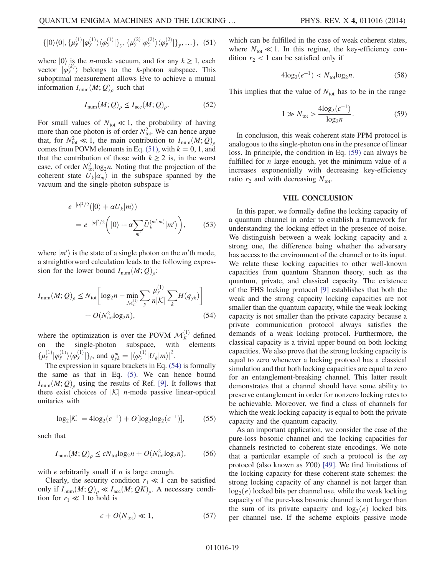$$
\{|0\rangle\langle 0|, \{\mu_{y}^{(1)}|\varphi_{y}^{(1)}\rangle\langle\varphi_{y}^{(1)}|\}_y, \{\mu_{y}^{(2)}|\varphi_{y}^{(2)}\rangle\langle\varphi_{y}^{(2)}|\}_y, \ldots\}, \quad (51)
$$

where  $|0\rangle$  is the *n*-mode vacuum, and for any  $k \ge 1$ , each vector  $|\varphi_{y}^{(k)}\rangle$  belongs to the k-photon subspace. This<br>subontimal measurement allows Eve to achieve a mutual suboptimal measurement allows Eve to achieve a mutual information  $I_{\text{num}}(M;Q)_{\rho}$  such that

$$
I_{\text{num}}(M; Q)_{\rho} \le I_{\text{acc}}(M; Q)_{\rho}.
$$
 (52)

For small values of  $N_{\text{tot}} \ll 1$ , the probability of having more than one photon is of order  $N_{\text{tot}}^2$ . We can hence argue that, for  $N_{\text{tot}}^2 \ll 1$ , the main contribution to  $I_{\text{num}}(M; Q)$ <br>comes from POVM elements in Eq. (51) with  $k = 0, 1$  and comes from POVM elements in Eq. [\(51\),](#page-19-1) with  $k = 0, 1$ , and that the contribution of those with  $k \geq 2$  is, in the worst case, of order  $N_{\text{tot}}^2 \log_2 n$ . Noting that the projection of the coherent state  $U_k|\alpha_m\rangle$  in the subspace spanned by the vacuum and the single-photon subspace is

$$
e^{-|\alpha|^2/2}(|0\rangle + \alpha U_k|m\rangle)
$$
  
= 
$$
e^{-|\alpha|^2/2} \bigg(|0\rangle + \alpha \sum_{m'} \tilde{U}_k^{(m',m)}|m'\rangle \bigg), \qquad (53)
$$

<span id="page-20-1"></span>where  $|m'\rangle$  is the state of a single photon on the m'th mode,<br>a straightforward calculation leads to the following expresa straightforward calculation leads to the following expression for the lower bound  $I_{\text{num}}(M;Q)_{\rho}$ :

$$
I_{\text{num}}(M; Q)_{\rho} \le N_{\text{tot}} \left[ \log_2 n - \min_{\mathcal{M}_E^{(1)}} \sum_{y} \frac{\mu_y^{(1)}}{n|\mathcal{K}|} \sum_{k} H(q_{yk}) \right] + O(N_{\text{tot}}^2 \log_2 n), \tag{54}
$$

where the optimization is over the POVM  $\mathcal{M}_E^{(1)}$  defined on the single-photon subspace, with elements  $\{\mu_y^{(1)} | \varphi_y^{(1)}\rangle \langle \varphi_y^{(1)}|\}_i$ , and  $q_{yk}^m = |\langle \varphi_y^{(1)} | U_k | m \rangle|^2$ .<br>The expression in square broakets in Eq. (5)

The expression in square brackets in Eq. [\(54\)](#page-20-1) is formally the same as that in Eq. [\(5\)](#page-5-2). We can hence bound  $I_{\text{num}}(M; Q)_{\rho}$  using the results of Ref. [\[9\]](#page-23-10). It follows that there exist choices of  $|\mathcal{K}|$  *n*-mode passive linear-optical unitaries with

$$
\log_2|\mathcal{K}| = 4\log_2(\epsilon^{-1}) + O[\log_2\log_2(\epsilon^{-1})],\tag{55}
$$

such that

$$
I_{\text{num}}(M; Q)_{\rho} \le \epsilon N_{\text{tot}} \log_2 n + O(N_{\text{tot}}^2 \log_2 n),\tag{56}
$$

with  $\epsilon$  arbitrarily small if *n* is large enough.

Clearly, the security condition  $r_1 \ll 1$  can be satisfied only if  $I_{\text{num}}(M; Q)_{\rho} \ll I_{\text{acc}}(M; QK)_{\rho}$ . A necessary condition for  $r_1 \ll 1$  to hold is

$$
\epsilon + O(N_{\text{tot}}) \ll 1,\tag{57}
$$

which can be fulfilled in the case of weak coherent states, where  $N_{\text{tot}} \ll 1$ . In this regime, the key-efficiency condition  $r_2$  < 1 can be satisfied only if

$$
4\log_2(\epsilon^{-1}) < N_{\text{tot}}\log_2 n. \tag{58}
$$

<span id="page-20-2"></span>This implies that the value of  $N_{\text{tot}}$  has to be in the range

$$
1 \gg N_{\text{tot}} > \frac{4\log_2(\epsilon^{-1})}{\log_2 n}.
$$
 (59)

In conclusion, this weak coherent state PPM protocol is analogous to the single-photon one in the presence of linear loss. In principle, the condition in Eq. [\(59\)](#page-20-2) can always be fulfilled for  $n$  large enough, yet the minimum value of  $n$ increases exponentially with decreasing key-efficiency ratio  $r_2$  and with decreasing  $N_{\text{tot}}$ .

#### VIII. CONCLUSION

<span id="page-20-0"></span>In this paper, we formally define the locking capacity of a quantum channel in order to establish a framework for understanding the locking effect in the presence of noise. We distinguish between a weak locking capacity and a strong one, the difference being whether the adversary has access to the environment of the channel or to its input. We relate these locking capacities to other well-known capacities from quantum Shannon theory, such as the quantum, private, and classical capacity. The existence of the FHS locking protocol [\[9\]](#page-23-10) establishes that both the weak and the strong capacity locking capacities are not smaller than the quantum capacity, while the weak locking capacity is not smaller than the private capacity because a private communication protocol always satisfies the demands of a weak locking protocol. Furthermore, the classical capacity is a trivial upper bound on both locking capacities. We also prove that the strong locking capacity is equal to zero whenever a locking protocol has a classical simulation and that both locking capacities are equal to zero for an entanglement-breaking channel. This latter result demonstrates that a channel should have some ability to preserve entanglement in order for nonzero locking rates to be achievable. Moreover, we find a class of channels for which the weak locking capacity is equal to both the private capacity and the quantum capacity.

As an important application, we consider the case of the pure-loss bosonic channel and the locking capacities for channels restricted to coherent-state encodings. We note that a particular example of such a protocol is the  $\alpha\eta$ protocol (also known as Y00) [\[49\]](#page-24-15). We find limitations of the locking capacity for these coherent-state schemes: the strong locking capacity of any channel is not larger than  $log_2(e)$  locked bits per channel use, while the weak locking capacity of the pure-loss bosonic channel is not larger than the sum of its private capacity and  $log_2(e)$  locked bits per channel use. If the scheme exploits passive mode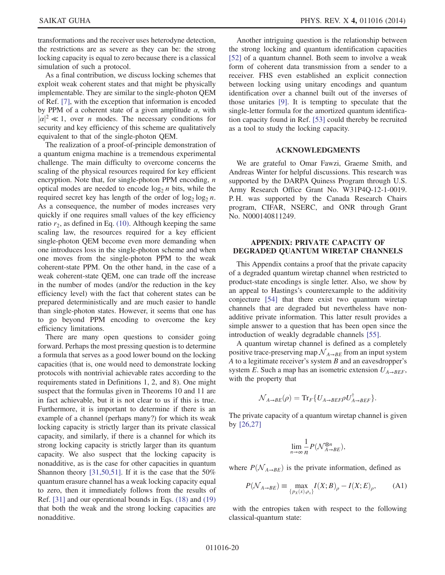transformations and the receiver uses heterodyne detection, the restrictions are as severe as they can be: the strong locking capacity is equal to zero because there is a classical simulation of such a protocol.

As a final contribution, we discuss locking schemes that exploit weak coherent states and that might be physically implementable. They are similar to the single-photon QEM of Ref. [\[7\]](#page-23-5), with the exception that information is encoded by PPM of a coherent state of a given amplitude  $\alpha$ , with  $|\alpha|^2 \ll 1$ , over *n* modes. The necessary conditions for security and key efficiency of this scheme are qualitatively security and key efficiency of this scheme are qualitatively equivalent to that of the single-photon QEM.

The realization of a proof-of-principle demonstration of a quantum enigma machine is a tremendous experimental challenge. The main difficulty to overcome concerns the scaling of the physical resources required for key efficient encryption. Note that, for single-photon PPM encoding,  $n$ optical modes are needed to encode  $log_2 n$  bits, while the required secret key has length of the order of  $\log_2 \log_2 n$ . As a consequence, the number of modes increases very quickly if one requires small values of the key efficiency ratio  $r_2$ , as defined in Eq. [\(10\)](#page-6-2). Although keeping the same scaling law, the resources required for a key efficient single-photon QEM become even more demanding when one introduces loss in the single-photon scheme and when one moves from the single-photon PPM to the weak coherent-state PPM. On the other hand, in the case of a weak coherent-state QEM, one can trade off the increase in the number of modes (and/or the reduction in the key efficiency level) with the fact that coherent states can be prepared deterministically and are much easier to handle than single-photon states. However, it seems that one has to go beyond PPM encoding to overcome the key efficiency limitations.

There are many open questions to consider going forward. Perhaps the most pressing question is to determine a formula that serves as a good lower bound on the locking capacities (that is, one would need to demonstrate locking protocols with nontrivial achievable rates according to the requirements stated in Definitions 1, 2, and 8). One might suspect that the formulas given in Theorems 10 and 11 are in fact achievable, but it is not clear to us if this is true. Furthermore, it is important to determine if there is an example of a channel (perhaps many?) for which its weak locking capacity is strictly larger than its private classical capacity, and similarly, if there is a channel for which its strong locking capacity is strictly larger than its quantum capacity. We also suspect that the locking capacity is nonadditive, as is the case for other capacities in quantum Shannon theory [\[31,50,51\]](#page-24-0). If it is the case that the 50% quantum erasure channel has a weak locking capacity equal to zero, then it immediately follows from the results of Ref. [\[31\]](#page-24-0) and our operational bounds in Eqs. [\(18\)](#page-8-1) and [\(19\)](#page-9-0) that both the weak and the strong locking capacities are nonadditive.

Another intriguing question is the relationship between the strong locking and quantum identification capacities [\[52\]](#page-24-16) of a quantum channel. Both seem to involve a weak form of coherent data transmission from a sender to a receiver. FHS even established an explicit connection between locking using unitary encodings and quantum identification over a channel built out of the inverses of those unitaries [\[9\]](#page-23-10). It is tempting to speculate that the single-letter formula for the amortized quantum identification capacity found in Ref. [\[53\]](#page-24-17) could thereby be recruited as a tool to study the locking capacity.

#### ACKNOWLEDGMENTS

We are grateful to Omar Fawzi, Graeme Smith, and Andreas Winter for helpful discussions. This research was supported by the DARPA Quiness Program through U.S. Army Research Office Grant No. W31P4Q-12-1-0019. P. H. was supported by the Canada Research Chairs program, CIFAR, NSERC, and ONR through Grant No. N000140811249.

## APPENDIX: PRIVATE CAPACITY OF DEGRADED QUANTUM WIRETAP CHANNELS

This Appendix contains a proof that the private capacity of a degraded quantum wiretap channel when restricted to product-state encodings is single letter. Also, we show by an appeal to Hastings's counterexample to the additivity conjecture [\[54\]](#page-24-18) that there exist two quantum wiretap channels that are degraded but nevertheless have nonadditive private information. This latter result provides a simple answer to a question that has been open since the introduction of weakly degradable channels [\[55\].](#page-24-19)

A quantum wiretap channel is defined as a completely positive trace-preserving map  $\mathcal{N}_{A\rightarrow BE}$  from an input system A to a legitimate receiver's system  $B$  and an eavesdropper's system E. Such a map has an isometric extension  $U_{A\rightarrow BEF}$ , with the property that

$$
\mathcal{N}_{A\to BE}(\rho) = \text{Tr}_F \{ U_{A\to BEF} \rho U_{A\to BEF}^{\dagger} \}.
$$

The private capacity of a quantum wiretap channel is given by [\[26,27\]](#page-23-15)

$$
\lim_{n\to\infty}\frac{1}{n}P(\mathcal{N}_{A\to BE}^{\otimes n}),
$$

<span id="page-21-0"></span>where  $P(\mathcal{N}_{A\rightarrow BE})$  is the private information, defined as

$$
P(\mathcal{N}_{A \to BE}) \equiv \max_{\{p_X(x), \rho_X\}} I(X; B)_{\rho} - I(X; E)_{\rho}, \quad (A1)
$$

<span id="page-21-1"></span>with the entropies taken with respect to the following classical-quantum state: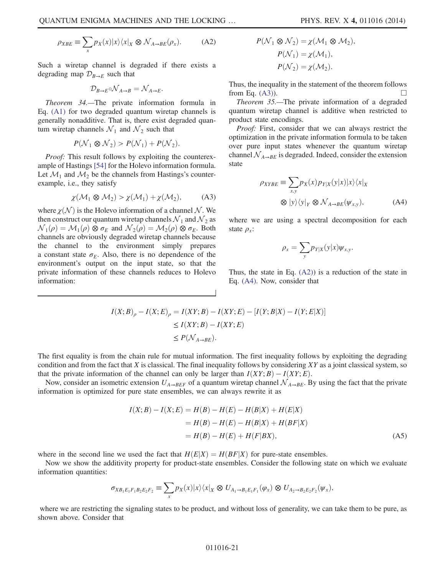$$
\rho_{XBE} \equiv \sum_{x} p_X(x) |x\rangle \langle x|_X \otimes \mathcal{N}_{A \to BE}(\rho_x). \tag{A2}
$$

Such a wiretap channel is degraded if there exists a degrading map  $\mathcal{D}_{B\to E}$  such that

$$
\mathcal{D}_{B\to E} \circ \mathcal{N}_{A\to B} = \mathcal{N}_{A\to E}.
$$

Theorem 34.—The private information formula in Eq. [\(A1\)](#page-21-0) for two degraded quantum wiretap channels is generally nonadditive. That is, there exist degraded quantum wiretap channels  $\mathcal{N}_1$  and  $\mathcal{N}_2$  such that

$$
P(\mathcal{N}_1 \otimes \mathcal{N}_2) > P(\mathcal{N}_1) + P(\mathcal{N}_2).
$$

<span id="page-22-0"></span>*Proof:* This result follows by exploiting the counterexample of Hastings [\[54\]](#page-24-18) for the Holevo information formula. Let  $\mathcal{M}_1$  and  $\mathcal{M}_2$  be the channels from Hastings's counterexample, i.e., they satisfy

$$
\chi(\mathcal{M}_1 \otimes \mathcal{M}_2) > \chi(\mathcal{M}_1) + \chi(\mathcal{M}_2), \tag{A3}
$$

where  $\chi(\mathcal{N})$  is the Holevo information of a channel N. We then construct our quantum wiretap channels  $\mathcal{N}_1$  and  $\mathcal{N}_2$  as  $\mathcal{N}_1(\rho) = \mathcal{M}_1(\rho) \otimes \sigma_E$  and  $\mathcal{N}_2(\rho) = \mathcal{M}_2(\rho) \otimes \sigma_E$ . Both channels are obviously degraded wiretap channels because the channel to the environment simply prepares a constant state  $\sigma_E$ . Also, there is no dependence of the environment's output on the input state, so that the private information of these channels reduces to Holevo information:

$$
P(\mathcal{N}_1 \otimes \mathcal{N}_2) = \chi(\mathcal{M}_1 \otimes \mathcal{M}_2),
$$
  
\n
$$
P(\mathcal{N}_1) = \chi(\mathcal{M}_1),
$$
  
\n
$$
P(\mathcal{N}_2) = \chi(\mathcal{M}_2).
$$

Thus, the inequality in the statement of the theorem follows from Eq.  $(A3)$ ).

Theorem 35.—The private information of a degraded quantum wiretap channel is additive when restricted to product state encodings.

<span id="page-22-1"></span>Proof: First, consider that we can always restrict the optimization in the private information formula to be taken over pure input states whenever the quantum wiretap channel  $\mathcal{N}_{A\rightarrow BE}$  is degraded. Indeed, consider the extension state

$$
\rho_{XYBE} \equiv \sum_{x,y} p_X(x) p_{Y|X}(y|x) |x\rangle \langle x|_X
$$
  
 
$$
\otimes |y\rangle \langle y|_Y \otimes \mathcal{N}_{A \to BE}(\psi_{x,y}), \tag{A4}
$$

where we are using a spectral decomposition for each state  $\rho_x$ :

$$
\rho_x = \sum_{y} p_{Y|X}(y|x) \psi_{x,y}.
$$

Thus, the state in Eq. [\(A2\)\)](#page-21-1) is a reduction of the state in Eq. [\(A4\)](#page-22-1). Now, consider that

$$
I(X;B)_{\rho} - I(X;E)_{\rho} = I(XY;B) - I(XY;E) - [I(Y;B|X) - I(Y;E|X)]
$$
  
\n
$$
\leq I(XY;B) - I(XY;E)
$$
  
\n
$$
\leq P(\mathcal{N}_{A \to BE}).
$$

The first equality is from the chain rule for mutual information. The first inequality follows by exploiting the degrading condition and from the fact that X is classical. The final inequality follows by considering  $XY$  as a joint classical system, so that the private information of the channel can only be larger than  $I(XY; B) - I(XY; E)$ .

<span id="page-22-2"></span>Now, consider an isometric extension  $U_{A\to BEF}$  of a quantum wiretap channel  $\mathcal{N}_{A\to BE}$ . By using the fact that the private information is optimized for pure state ensembles, we can always rewrite it as

$$
I(X; B) - I(X; E) = H(B) - H(E) - H(B|X) + H(E|X)
$$
  
=  $H(B) - H(E) - H(B|X) + H(BF|X)$   
=  $H(B) - H(E) + H(F|BX)$ , (A5)

where in the second line we used the fact that  $H(E|X) = H(BF|X)$  for pure-state ensembles.

Now we show the additivity property for product-state ensembles. Consider the following state on which we evaluate information quantities:

$$
\sigma_{XB_1E_1F_1B_2E_2F_2} \equiv \sum_x p_X(x)|x\rangle\langle x|_X \otimes U_{A_1\to B_1E_1F_1}(\varphi_x) \otimes U_{A_2\to B_2E_2F_2}(\psi_x),
$$

where we are restricting the signaling states to be product, and without loss of generality, we can take them to be pure, as shown above. Consider that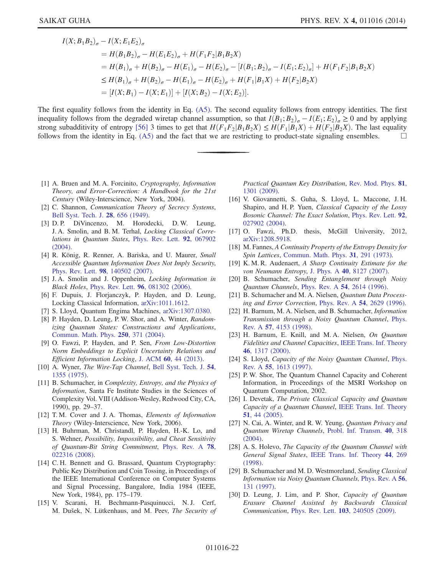$$
I(X; B_1 B_2)_{\sigma} - I(X; E_1 E_2)_{\sigma}
$$
  
=  $H(B_1 B_2)_{\sigma} - H(E_1 E_2)_{\sigma} + H(F_1 F_2 | B_1 B_2 X)$   
=  $H(B_1)_{\sigma} + H(B_2)_{\sigma} - H(E_1)_{\sigma} - H(E_2)_{\sigma} - [I(B_1; B_2)_{\sigma} - I(E_1; E_2)_{\sigma}] + H(F_1 F_2 | B_1 B_2 X)$   
 $\leq H(B_1)_{\sigma} + H(B_2)_{\sigma} - H(E_1)_{\sigma} - H(E_2)_{\sigma} + H(F_1 | B_1 X) + H(F_2 | B_2 X)$   
=  $[I(X; B_1) - I(X; E_1)] + [I(X; B_2) - I(X; E_2)].$ 

The first equality follows from the identity in Eq. [\(A5\)](#page-22-2). The second equality follows from entropy identities. The first inequality follows from the degraded wiretap channel assumption, so that  $I(B_1; B_2)_{\sigma} - I(E_1; E_2)_{\sigma} \geq 0$  and by applying strong subadditivity of entropy [\[56\]](#page-24-20) 3 times to get that  $H(F_1F_2|B_1B_2X) \leq H(F_1|B_1X) + H(F_2|B_2X)$ . The last equality follows from the identity in Eq. (A5) and the fact that we are restricting to product-state signaling follows from the identity in Eq.  $(A5)$  and the fact that we are restricting to product-state signaling ensembles.

- <span id="page-23-0"></span>[1] A. Bruen and M. A. Forcinito, Cryptography, Information Theory, and Error-Correction: A Handbook for the 21st Century (Wiley-Interscience, New York, 2004).
- <span id="page-23-1"></span>[2] C. Shannon, *Communication Theory of Secrecy Systems*, [Bell Syst. Tech. J.](http://dx.doi.org/10.1002/j.1538-7305.1949.tb00928.x) 28, 656 (1949).
- <span id="page-23-2"></span>[3] D. P. DiVincenzo, M. Horodecki, D. W. Leung, J. A. Smolin, and B. M. Terhal, Locking Classical Corre-lations in Quantum States, [Phys. Rev. Lett.](http://dx.doi.org/10.1103/PhysRevLett.92.067902) 92, 067902 [\(2004\).](http://dx.doi.org/10.1103/PhysRevLett.92.067902)
- <span id="page-23-3"></span>[4] R. König, R. Renner, A. Bariska, and U. Maurer, Small Accessible Quantum Information Does Not Imply Security, Phys. Rev. Lett. 98[, 140502 \(2007\)](http://dx.doi.org/10.1103/PhysRevLett.98.140502).
- <span id="page-23-4"></span>[5] J. A. Smolin and J. Oppenheim, Locking Information in Black Holes, Phys. Rev. Lett. 96[, 081302 \(2006\)](http://dx.doi.org/10.1103/PhysRevLett.96.081302).
- <span id="page-23-6"></span>[6] F. Dupuis, J. Florjanczyk, P. Hayden, and D. Leung, Locking Classical Information, [arXiv:1011.1612.](http://arXiv.org/abs/1011.1612)
- <span id="page-23-5"></span>[7] S. Lloyd, Quantum Engima Machines, [arXiv:1307.0380.](http://arXiv.org/abs/1307.0380)
- [8] P. Hayden, D. Leung, P. W. Shor, and A. Winter, Randomizing Quantum States: Constructions and Applications, [Commun. Math. Phys.](http://dx.doi.org/10.1007/s00220-004-1087-6) 250, 371 (2004).
- <span id="page-23-10"></span>[9] O. Fawzi, P. Hayden, and P. Sen, From Low-Distortion Norm Embeddings to Explicit Uncertainty Relations and Efficient Information Locking, J. ACM 60[, 44 \(2013\).](http://dx.doi.org/10.1145/2518131)
- <span id="page-23-7"></span>[10] A. Wyner, The Wire-Tap Channel, [Bell Syst. Tech. J.](http://dx.doi.org/10.1002/j.1538-7305.1975.tb02040.x) 54, [1355 \(1975\)](http://dx.doi.org/10.1002/j.1538-7305.1975.tb02040.x).
- <span id="page-23-8"></span>[11] B. Schumacher, in Complexity, Entropy, and the Physics of Information, Santa Fe Institute Studies in the Sciences of Complexity Vol. VIII (Addison-Wesley, Redwood City, CA, 1990), pp. 29–37.
- <span id="page-23-9"></span>[12] T. M. Cover and J. A. Thomas, Elements of Information Theory (Wiley-Interscience, New York, 2006).
- [13] H. Buhrman, M. Christandl, P. Hayden, H.-K. Lo, and S. Wehner, Possibility, Impossibility, and Cheat Sensitivity of Quantum-Bit String Commitment, [Phys. Rev. A](http://dx.doi.org/10.1103/PhysRevA.78.022316) 78, [022316 \(2008\).](http://dx.doi.org/10.1103/PhysRevA.78.022316)
- <span id="page-23-11"></span>[14] C. H. Bennett and G. Brassard, Quantum Cryptography: Public Key Distribution and Coin Tossing, in Proceedings of the IEEE International Conference on Computer Systems and Signal Processing, Bangalore, India 1984 (IEEE, New York, 1984), pp. 175–179.
- [15] V. Scarani, H. Bechmann-Pasquinucci, N. J. Cerf, M. Du*š*ek, N. Lütkenhaus, and M. Peev, The Security of

Practical Quantum Key Distribution, [Rev. Mod. Phys.](http://dx.doi.org/10.1103/RevModPhys.81.1301) 81, [1301 \(2009\)](http://dx.doi.org/10.1103/RevModPhys.81.1301).

- [16] V. Giovannetti, S. Guha, S. Lloyd, L. Maccone, J. H. Shapiro, and H. P. Yuen, Classical Capacity of the Lossy Bosonic Channel: The Exact Solution, [Phys. Rev. Lett.](http://dx.doi.org/10.1103/PhysRevLett.92.027902) 92, [027902 \(2004\).](http://dx.doi.org/10.1103/PhysRevLett.92.027902)
- <span id="page-23-12"></span>[17] O. Fawzi, Ph.D. thesis, McGill University, 2012, [arXiv:1208.5918.](http://arXiv.org/abs/1208.5918)
- <span id="page-23-13"></span>[18] M. Fannes, A Continuity Property of the Entropy Density for Spin Lattices, [Commun. Math. Phys.](http://dx.doi.org/10.1007/BF01646490) 31, 291 (1973).
- <span id="page-23-18"></span>[19] K. M. R. Audenaert, A Sharp Continuity Estimate for the von Neumann Entropy, J. Phys. A 40[, 8127 \(2007\)](http://dx.doi.org/10.1088/1751-8113/40/28/S18).
- <span id="page-23-14"></span>[20] B. Schumacher, Sending Entanglement through Noisy Quantum Channels, Phys. Rev. A 54[, 2614 \(1996\)](http://dx.doi.org/10.1103/PhysRevA.54.2614).
- [21] B. Schumacher and M. A. Nielsen, Quantum Data Process-ing and Error Correction, Phys. Rev. A 54[, 2629 \(1996\).](http://dx.doi.org/10.1103/PhysRevA.54.2629)
- [22] H. Barnum, M. A. Nielsen, and B. Schumacher, *Information* Transmission through a Noisy Quantum Channel, [Phys.](http://dx.doi.org/10.1103/PhysRevA.57.4153) Rev. A 57[, 4153 \(1998\).](http://dx.doi.org/10.1103/PhysRevA.57.4153)
- [23] H. Barnum, E. Knill, and M.A. Nielsen, On Quantum Fidelities and Channel Capacities, [IEEE Trans. Inf. Theory](http://dx.doi.org/10.1109/18.850671) 46[, 1317 \(2000\)](http://dx.doi.org/10.1109/18.850671).
- [24] S. Lloyd, Capacity of the Noisy Quantum Channel, [Phys.](http://dx.doi.org/10.1103/PhysRevA.55.1613) Rev. A 55[, 1613 \(1997\).](http://dx.doi.org/10.1103/PhysRevA.55.1613)
- [25] P. W. Shor, The Quantum Channel Capacity and Coherent Information, in Proceedings of the MSRI Workshop on Quantum Computation, 2002.
- <span id="page-23-15"></span>[26] I. Devetak, The Private Classical Capacity and Quantum Capacity of a Quantum Channel, [IEEE Trans. Inf. Theory](http://dx.doi.org/10.1109/TIT.2004.839515) 51[, 44 \(2005\).](http://dx.doi.org/10.1109/TIT.2004.839515)
- [27] N. Cai, A. Winter, and R. W. Yeung, Quantum Privacy and Quantum Wiretap Channels, [Probl. Inf. Transm.](http://dx.doi.org/10.1007/s11122-004-0002-2) 40, 318 [\(2004\).](http://dx.doi.org/10.1007/s11122-004-0002-2)
- <span id="page-23-16"></span>[28] A. S. Holevo, The Capacity of the Quantum Channel with General Signal States, [IEEE Trans. Inf. Theory](http://dx.doi.org/10.1109/18.651037) 44, 269 [\(1998\).](http://dx.doi.org/10.1109/18.651037)
- [29] B. Schumacher and M. D. Westmoreland, Sending Classical Information via Noisy Quantum Channels, [Phys. Rev. A](http://dx.doi.org/10.1103/PhysRevA.56.131) 56, [131 \(1997\)](http://dx.doi.org/10.1103/PhysRevA.56.131).
- <span id="page-23-17"></span>[30] D. Leung, J. Lim, and P. Shor, Capacity of Quantum Erasure Channel Assisted by Backwards Classical Communication, Phys. Rev. Lett. 103[, 240505 \(2009\).](http://dx.doi.org/10.1103/PhysRevLett.103.240505)